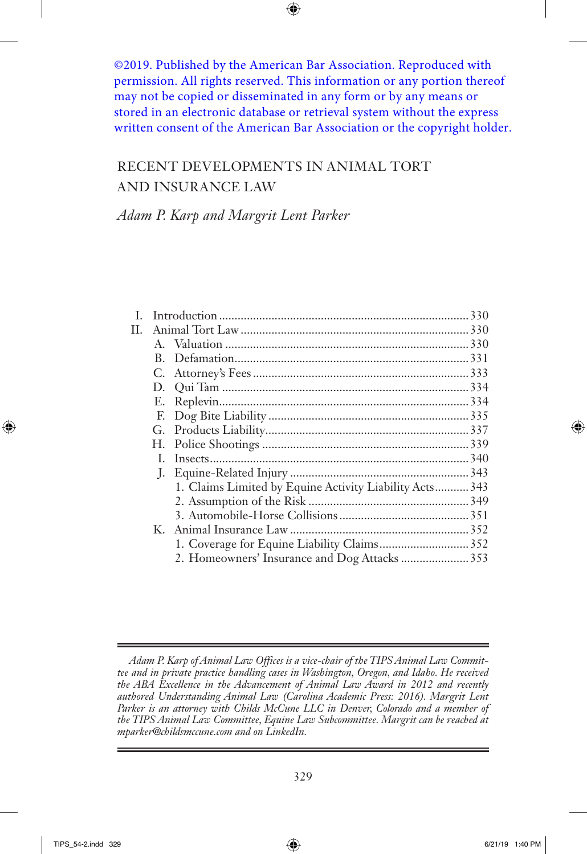©2019. Published by the American Bar Association. Reproduced with permission. All rights reserved. This information or any portion thereof may not be copied or disseminated in any form or by any means or stored in an electronic database or retrieval system without the express written consent of the American Bar Association or the copyright holder.

# Recent Developments in Animal Tort and Insurance Law

*Adam P. Karp and Margrit Lent Parker*

| $\mathbf{L}$ |    |                                                         |  |
|--------------|----|---------------------------------------------------------|--|
| П.           |    |                                                         |  |
|              |    |                                                         |  |
|              | B. |                                                         |  |
|              |    |                                                         |  |
|              |    |                                                         |  |
|              |    |                                                         |  |
|              |    |                                                         |  |
|              |    |                                                         |  |
|              |    |                                                         |  |
|              | L. |                                                         |  |
|              |    |                                                         |  |
|              |    | 1. Claims Limited by Equine Activity Liability Acts 343 |  |
|              |    |                                                         |  |
|              |    |                                                         |  |
|              |    |                                                         |  |
|              |    |                                                         |  |
|              |    | 2. Homeowners' Insurance and Dog Attacks  353           |  |
|              |    |                                                         |  |

*Adam P. Karp of Animal Law Offices is a vice-chair of the TIPS Animal Law Committee and in private practice handling cases in Washington, Oregon, and Idaho. He received the ABA Excellence in the Advancement of Animal Law Award in 2012 and recently authored Understanding Animal Law (Carolina Academic Press: 2016). Margrit Lent Parker is an attorney with Childs McCune LLC in Denver, Colorado and a member of the TIPS Animal Law Committee, Equine Law Subcommittee. Margrit can be reached at mparker@childsmccune.com and on LinkedIn.*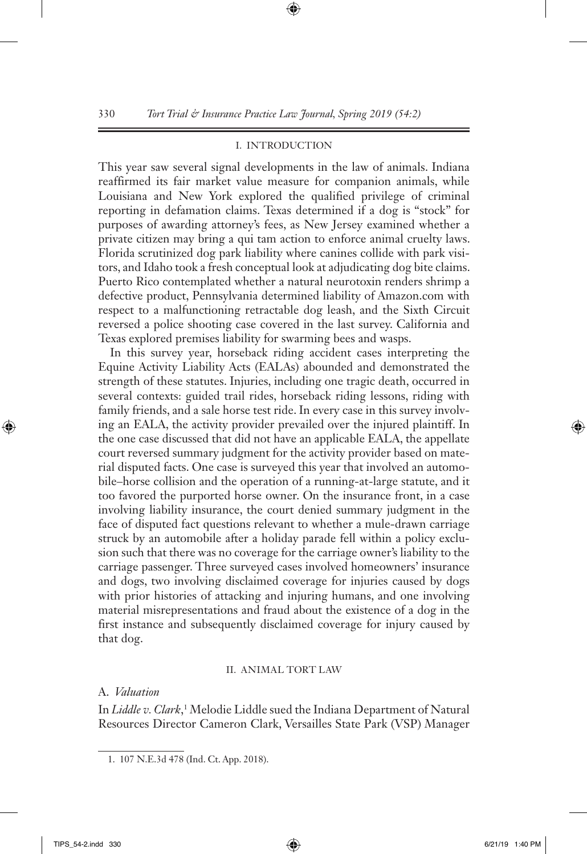#### I. INTRODUCTION

This year saw several signal developments in the law of animals. Indiana reaffirmed its fair market value measure for companion animals, while Louisiana and New York explored the qualified privilege of criminal reporting in defamation claims. Texas determined if a dog is "stock" for purposes of awarding attorney's fees, as New Jersey examined whether a private citizen may bring a qui tam action to enforce animal cruelty laws. Florida scrutinized dog park liability where canines collide with park visitors, and Idaho took a fresh conceptual look at adjudicating dog bite claims. Puerto Rico contemplated whether a natural neurotoxin renders shrimp a defective product, Pennsylvania determined liability of Amazon.com with respect to a malfunctioning retractable dog leash, and the Sixth Circuit reversed a police shooting case covered in the last survey. California and Texas explored premises liability for swarming bees and wasps.

In this survey year, horseback riding accident cases interpreting the Equine Activity Liability Acts (EALAs) abounded and demonstrated the strength of these statutes. Injuries, including one tragic death, occurred in several contexts: guided trail rides, horseback riding lessons, riding with family friends, and a sale horse test ride. In every case in this survey involving an EALA, the activity provider prevailed over the injured plaintiff. In the one case discussed that did not have an applicable EALA, the appellate court reversed summary judgment for the activity provider based on material disputed facts. One case is surveyed this year that involved an automobile–horse collision and the operation of a running-at-large statute, and it too favored the purported horse owner. On the insurance front, in a case involving liability insurance, the court denied summary judgment in the face of disputed fact questions relevant to whether a mule-drawn carriage struck by an automobile after a holiday parade fell within a policy exclusion such that there was no coverage for the carriage owner's liability to the carriage passenger. Three surveyed cases involved homeowners' insurance and dogs, two involving disclaimed coverage for injuries caused by dogs with prior histories of attacking and injuring humans, and one involving material misrepresentations and fraud about the existence of a dog in the first instance and subsequently disclaimed coverage for injury caused by that dog.

#### II. ANIMAL TORT LAW

#### A. *Valuation*

In *Liddle v. Clark*,<sup>1</sup> Melodie Liddle sued the Indiana Department of Natural Resources Director Cameron Clark, Versailles State Park (VSP) Manager

<sup>1.</sup> 107 N.E.3d 478 (Ind. Ct. App. 2018).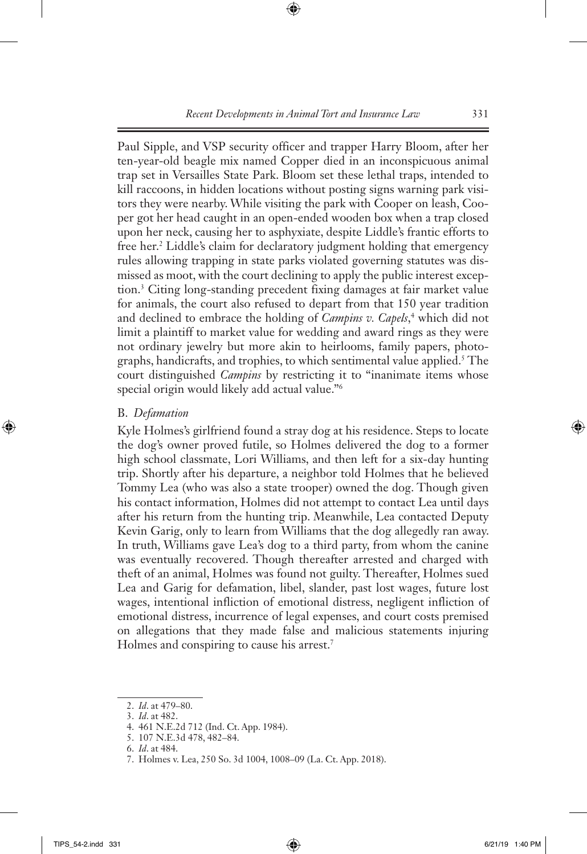Paul Sipple, and VSP security officer and trapper Harry Bloom, after her ten-year-old beagle mix named Copper died in an inconspicuous animal trap set in Versailles State Park. Bloom set these lethal traps, intended to kill raccoons, in hidden locations without posting signs warning park visitors they were nearby. While visiting the park with Cooper on leash, Cooper got her head caught in an open-ended wooden box when a trap closed upon her neck, causing her to asphyxiate, despite Liddle's frantic efforts to free her.2 Liddle's claim for declaratory judgment holding that emergency rules allowing trapping in state parks violated governing statutes was dismissed as moot, with the court declining to apply the public interest exception.3 Citing long-standing precedent fixing damages at fair market value for animals, the court also refused to depart from that 150 year tradition and declined to embrace the holding of *Campins v. Capels*,<sup>4</sup> which did not limit a plaintiff to market value for wedding and award rings as they were not ordinary jewelry but more akin to heirlooms, family papers, photographs, handicrafts, and trophies, to which sentimental value applied.5 The court distinguished *Campins* by restricting it to "inanimate items whose special origin would likely add actual value."6

# B. *Defamation*

Kyle Holmes's girlfriend found a stray dog at his residence. Steps to locate the dog's owner proved futile, so Holmes delivered the dog to a former high school classmate, Lori Williams, and then left for a six-day hunting trip. Shortly after his departure, a neighbor told Holmes that he believed Tommy Lea (who was also a state trooper) owned the dog. Though given his contact information, Holmes did not attempt to contact Lea until days after his return from the hunting trip. Meanwhile, Lea contacted Deputy Kevin Garig, only to learn from Williams that the dog allegedly ran away. In truth, Williams gave Lea's dog to a third party, from whom the canine was eventually recovered. Though thereafter arrested and charged with theft of an animal, Holmes was found not guilty. Thereafter, Holmes sued Lea and Garig for defamation, libel, slander, past lost wages, future lost wages, intentional infliction of emotional distress, negligent infliction of emotional distress, incurrence of legal expenses, and court costs premised on allegations that they made false and malicious statements injuring Holmes and conspiring to cause his arrest.<sup>7</sup>

3. *Id*. at 482.

<sup>2.</sup> *Id*. at 479–80.

<sup>4.</sup> 461 N.E.2d 712 (Ind. Ct. App. 1984).

<sup>5.</sup> 107 N.E.3d 478, 482–84.

<sup>6.</sup> *Id*. at 484.

<sup>7.</sup> Holmes v. Lea, 250 So. 3d 1004, 1008–09 (La. Ct. App. 2018).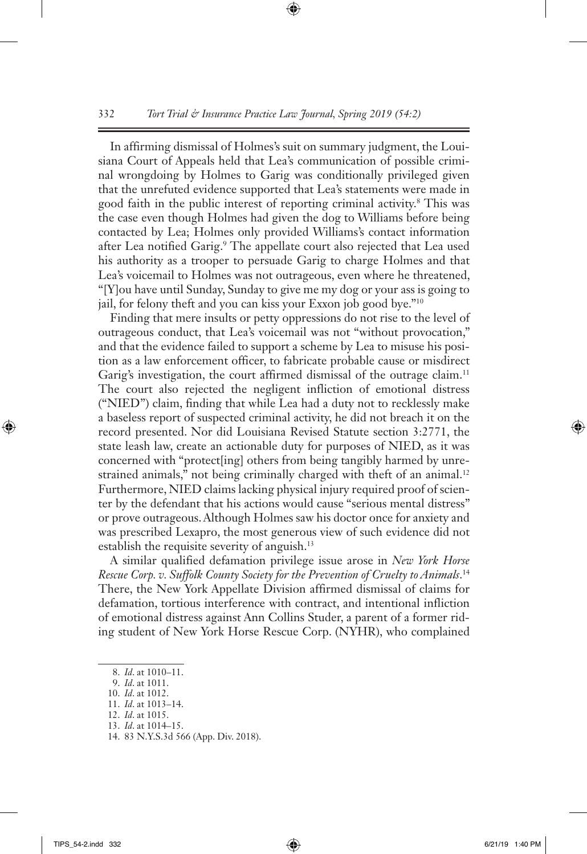In affirming dismissal of Holmes's suit on summary judgment, the Louisiana Court of Appeals held that Lea's communication of possible criminal wrongdoing by Holmes to Garig was conditionally privileged given that the unrefuted evidence supported that Lea's statements were made in good faith in the public interest of reporting criminal activity.8 This was the case even though Holmes had given the dog to Williams before being contacted by Lea; Holmes only provided Williams's contact information after Lea notified Garig.<sup>9</sup> The appellate court also rejected that Lea used his authority as a trooper to persuade Garig to charge Holmes and that Lea's voicemail to Holmes was not outrageous, even where he threatened, "[Y]ou have until Sunday, Sunday to give me my dog or your ass is going to jail, for felony theft and you can kiss your Exxon job good bye."10

Finding that mere insults or petty oppressions do not rise to the level of outrageous conduct, that Lea's voicemail was not "without provocation," and that the evidence failed to support a scheme by Lea to misuse his position as a law enforcement officer, to fabricate probable cause or misdirect Garig's investigation, the court affirmed dismissal of the outrage claim.<sup>11</sup> The court also rejected the negligent infliction of emotional distress ("NIED") claim, finding that while Lea had a duty not to recklessly make a baseless report of suspected criminal activity, he did not breach it on the record presented. Nor did Louisiana Revised Statute section 3:2771, the state leash law, create an actionable duty for purposes of NIED, as it was concerned with "protect[ing] others from being tangibly harmed by unrestrained animals," not being criminally charged with theft of an animal.<sup>12</sup> Furthermore, NIED claims lacking physical injury required proof of scienter by the defendant that his actions would cause "serious mental distress" or prove outrageous. Although Holmes saw his doctor once for anxiety and was prescribed Lexapro, the most generous view of such evidence did not establish the requisite severity of anguish.<sup>13</sup>

A similar qualified defamation privilege issue arose in *New York Horse Rescue Corp. v. Suffolk County Society for the Prevention of Cruelty to Animals*. 14 There, the New York Appellate Division affirmed dismissal of claims for defamation, tortious interference with contract, and intentional infliction of emotional distress against Ann Collins Studer, a parent of a former riding student of New York Horse Rescue Corp. (NYHR), who complained

<sup>8.</sup> *Id*. at 1010–11.

<sup>9.</sup> *Id*. at 1011.

<sup>10.</sup> *Id*. at 1012.

<sup>11.</sup> *Id*. at 1013–14.

<sup>12.</sup> *Id*. at 1015.

<sup>13.</sup> *Id*. at 1014–15.

<sup>14.</sup> 83 N.Y.S.3d 566 (App. Div. 2018).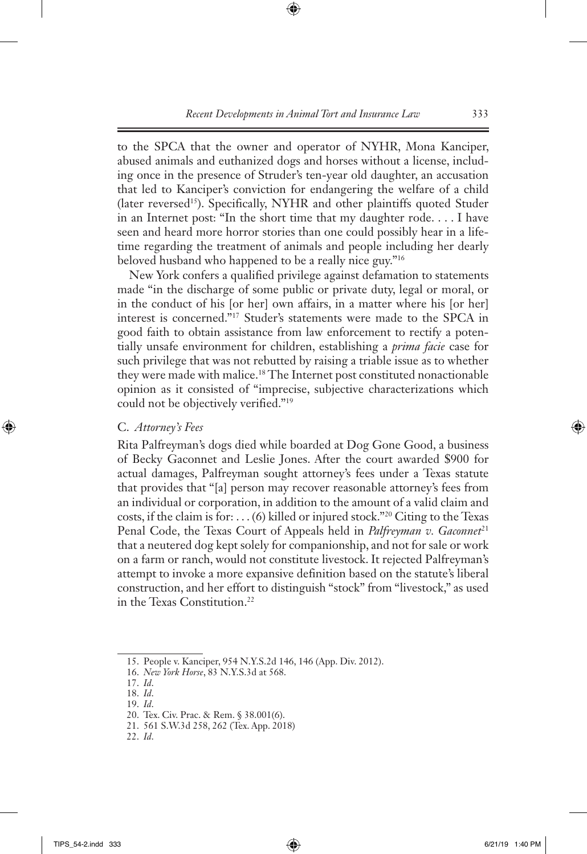to the SPCA that the owner and operator of NYHR, Mona Kanciper, abused animals and euthanized dogs and horses without a license, including once in the presence of Struder's ten-year old daughter, an accusation that led to Kanciper's conviction for endangering the welfare of a child (later reversed<sup>15</sup>). Specifically, NYHR and other plaintiffs quoted Studer in an Internet post: "In the short time that my daughter rode. . . . I have seen and heard more horror stories than one could possibly hear in a lifetime regarding the treatment of animals and people including her dearly beloved husband who happened to be a really nice guy."16

New York confers a qualified privilege against defamation to statements made "in the discharge of some public or private duty, legal or moral, or in the conduct of his [or her] own affairs, in a matter where his [or her] interest is concerned."17 Studer's statements were made to the SPCA in good faith to obtain assistance from law enforcement to rectify a potentially unsafe environment for children, establishing a *prima facie* case for such privilege that was not rebutted by raising a triable issue as to whether they were made with malice.18 The Internet post constituted nonactionable opinion as it consisted of "imprecise, subjective characterizations which could not be objectively verified."19

#### C. *Attorney's Fees*

Rita Palfreyman's dogs died while boarded at Dog Gone Good, a business of Becky Gaconnet and Leslie Jones. After the court awarded \$900 for actual damages, Palfreyman sought attorney's fees under a Texas statute that provides that "[a] person may recover reasonable attorney's fees from an individual or corporation, in addition to the amount of a valid claim and costs, if the claim is for: . . . (6) killed or injured stock."20 Citing to the Texas Penal Code, the Texas Court of Appeals held in *Palfreyman v. Gaconnet<sup>21</sup>* that a neutered dog kept solely for companionship, and not for sale or work on a farm or ranch, would not constitute livestock. It rejected Palfreyman's attempt to invoke a more expansive definition based on the statute's liberal construction, and her effort to distinguish "stock" from "livestock," as used in the Texas Constitution.22

<sup>15.</sup> People v. Kanciper, 954 N.Y.S.2d 146, 146 (App. Div. 2012).

<sup>16.</sup> *New York Horse*, 83 N.Y.S.3d at 568.

<sup>17.</sup> *Id*.

<sup>18.</sup> *Id*.

<sup>19.</sup> *Id*.

<sup>20.</sup> Tex. Civ. Prac. & Rem. § 38.001(6).

<sup>21.</sup> 561 S.W.3d 258, 262 (Tex. App. 2018)

<sup>22.</sup> *Id*.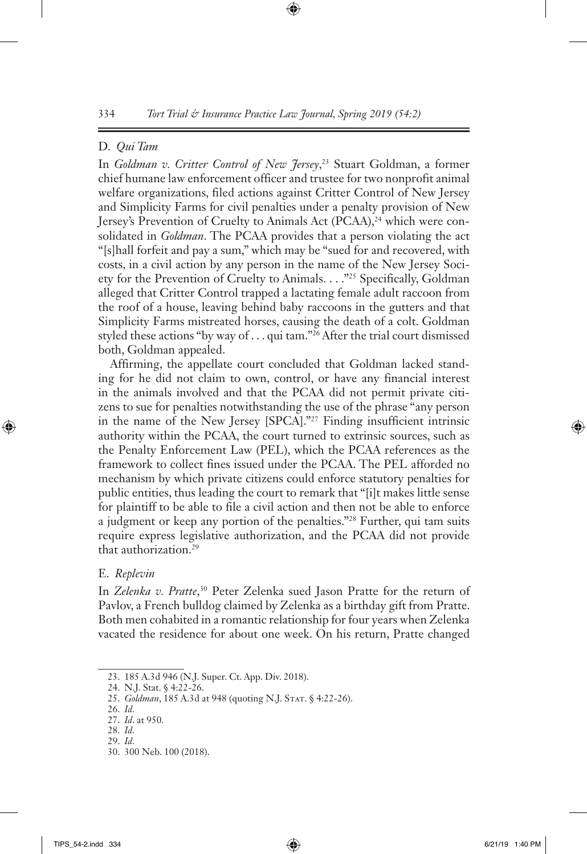### D. *Qui Tam*

In *Goldman v. Critter Control of New Jersey*, 23 Stuart Goldman, a former chief humane law enforcement officer and trustee for two nonprofit animal welfare organizations, filed actions against Critter Control of New Jersey and Simplicity Farms for civil penalties under a penalty provision of New Jersey's Prevention of Cruelty to Animals Act (PCAA),<sup>24</sup> which were consolidated in *Goldman*. The PCAA provides that a person violating the act "[s]hall forfeit and pay a sum," which may be "sued for and recovered, with costs, in a civil action by any person in the name of the New Jersey Society for the Prevention of Cruelty to Animals. . . ."25 Specifically, Goldman alleged that Critter Control trapped a lactating female adult raccoon from the roof of a house, leaving behind baby raccoons in the gutters and that Simplicity Farms mistreated horses, causing the death of a colt. Goldman styled these actions "by way of . . . qui tam."26 After the trial court dismissed both, Goldman appealed.

Affirming, the appellate court concluded that Goldman lacked standing for he did not claim to own, control, or have any financial interest in the animals involved and that the PCAA did not permit private citizens to sue for penalties notwithstanding the use of the phrase "any person in the name of the New Jersey [SPCA]."27 Finding insufficient intrinsic authority within the PCAA, the court turned to extrinsic sources, such as the Penalty Enforcement Law (PEL), which the PCAA references as the framework to collect fines issued under the PCAA. The PEL afforded no mechanism by which private citizens could enforce statutory penalties for public entities, thus leading the court to remark that "[i]t makes little sense for plaintiff to be able to file a civil action and then not be able to enforce a judgment or keep any portion of the penalties."<sup>28</sup> Further, qui tam suits require express legislative authorization, and the PCAA did not provide that authorization.29

#### E. *Replevin*

In *Zelenka v. Pratte*, 30 Peter Zelenka sued Jason Pratte for the return of Pavlov, a French bulldog claimed by Zelenka as a birthday gift from Pratte. Both men cohabited in a romantic relationship for four years when Zelenka vacated the residence for about one week. On his return, Pratte changed

<sup>23.</sup> 185 A.3d 946 (N.J. Super. Ct. App. Div. 2018).

<sup>24.</sup> N.J. Stat. § 4:22-26.

<sup>25.</sup> *Goldman*, 185 A.3d at 948 (quoting N.J. STAT. § 4:22-26).

<sup>26.</sup> *Id*.

<sup>27.</sup> *Id*. at 950.

<sup>28.</sup> *Id*.

<sup>29.</sup> *Id*.

<sup>30.</sup> 300 Neb. 100 (2018).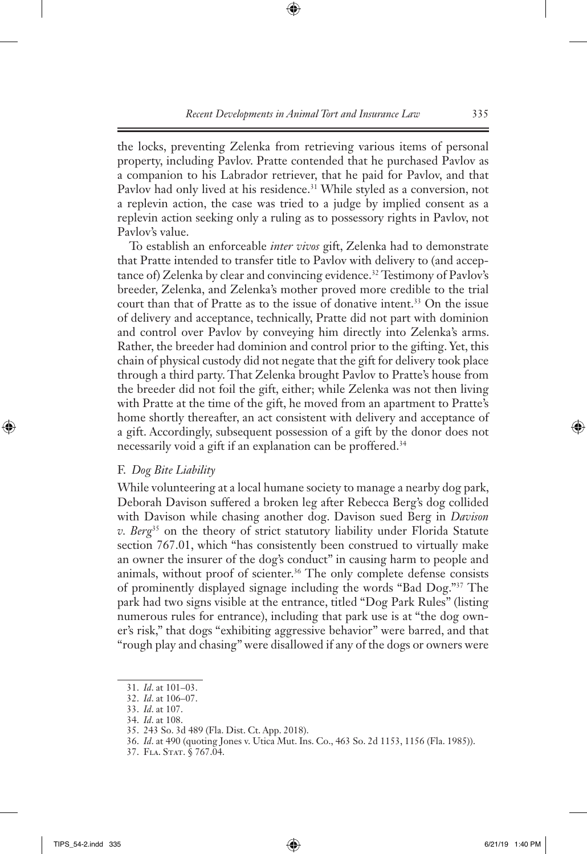the locks, preventing Zelenka from retrieving various items of personal property, including Pavlov. Pratte contended that he purchased Pavlov as a companion to his Labrador retriever, that he paid for Pavlov, and that Pavlov had only lived at his residence.<sup>31</sup> While styled as a conversion, not a replevin action, the case was tried to a judge by implied consent as a replevin action seeking only a ruling as to possessory rights in Pavlov, not Pavlov's value.

To establish an enforceable *inter vivos* gift, Zelenka had to demonstrate that Pratte intended to transfer title to Pavlov with delivery to (and acceptance of) Zelenka by clear and convincing evidence.<sup>32</sup> Testimony of Pavlov's breeder, Zelenka, and Zelenka's mother proved more credible to the trial court than that of Pratte as to the issue of donative intent.<sup>33</sup> On the issue of delivery and acceptance, technically, Pratte did not part with dominion and control over Pavlov by conveying him directly into Zelenka's arms. Rather, the breeder had dominion and control prior to the gifting. Yet, this chain of physical custody did not negate that the gift for delivery took place through a third party. That Zelenka brought Pavlov to Pratte's house from the breeder did not foil the gift, either; while Zelenka was not then living with Pratte at the time of the gift, he moved from an apartment to Pratte's home shortly thereafter, an act consistent with delivery and acceptance of a gift. Accordingly, subsequent possession of a gift by the donor does not necessarily void a gift if an explanation can be proffered.<sup>34</sup>

#### F. *Dog Bite Liability*

While volunteering at a local humane society to manage a nearby dog park, Deborah Davison suffered a broken leg after Rebecca Berg's dog collided with Davison while chasing another dog. Davison sued Berg in *Davison v. Berg*35 on the theory of strict statutory liability under Florida Statute section 767.01, which "has consistently been construed to virtually make an owner the insurer of the dog's conduct" in causing harm to people and animals, without proof of scienter.<sup>36</sup> The only complete defense consists of prominently displayed signage including the words "Bad Dog."37 The park had two signs visible at the entrance, titled "Dog Park Rules" (listing numerous rules for entrance), including that park use is at "the dog owner's risk," that dogs "exhibiting aggressive behavior" were barred, and that "rough play and chasing" were disallowed if any of the dogs or owners were

<sup>31.</sup> *Id*. at 101–03.

<sup>32.</sup> *Id*. at 106–07.

<sup>33.</sup> *Id*. at 107.

<sup>34.</sup> *Id*. at 108.

<sup>35.</sup> 243 So. 3d 489 (Fla. Dist. Ct. App. 2018).

<sup>36.</sup> *Id*. at 490 (quoting Jones v. Utica Mut. Ins. Co., 463 So. 2d 1153, 1156 (Fla. 1985)).

<sup>37.</sup> Fla. Stat. § 767.04.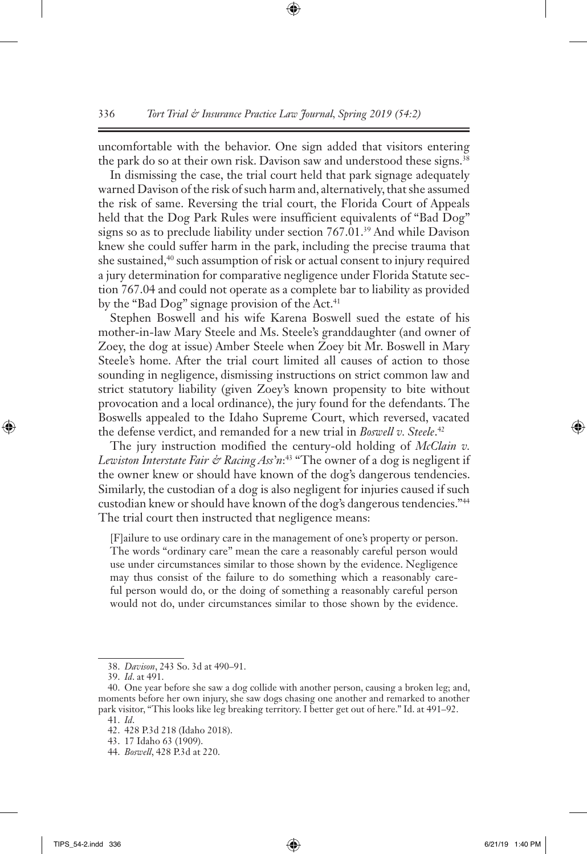uncomfortable with the behavior. One sign added that visitors entering the park do so at their own risk. Davison saw and understood these signs.<sup>38</sup>

In dismissing the case, the trial court held that park signage adequately warned Davison of the risk of such harm and, alternatively, that she assumed the risk of same. Reversing the trial court, the Florida Court of Appeals held that the Dog Park Rules were insufficient equivalents of "Bad Dog" signs so as to preclude liability under section 767.01.<sup>39</sup> And while Davison knew she could suffer harm in the park, including the precise trauma that she sustained,<sup>40</sup> such assumption of risk or actual consent to injury required a jury determination for comparative negligence under Florida Statute section 767.04 and could not operate as a complete bar to liability as provided by the "Bad Dog" signage provision of the Act.<sup>41</sup>

Stephen Boswell and his wife Karena Boswell sued the estate of his mother-in-law Mary Steele and Ms. Steele's granddaughter (and owner of Zoey, the dog at issue) Amber Steele when Zoey bit Mr. Boswell in Mary Steele's home. After the trial court limited all causes of action to those sounding in negligence, dismissing instructions on strict common law and strict statutory liability (given Zoey's known propensity to bite without provocation and a local ordinance), the jury found for the defendants. The Boswells appealed to the Idaho Supreme Court, which reversed, vacated the defense verdict, and remanded for a new trial in *Boswell v. Steele*. 42

The jury instruction modified the century-old holding of *McClain v. Lewiston Interstate Fair & Racing Ass'n*: 43 "The owner of a dog is negligent if the owner knew or should have known of the dog's dangerous tendencies. Similarly, the custodian of a dog is also negligent for injuries caused if such custodian knew or should have known of the dog's dangerous tendencies."44 The trial court then instructed that negligence means:

[F]ailure to use ordinary care in the management of one's property or person. The words "ordinary care" mean the care a reasonably careful person would use under circumstances similar to those shown by the evidence. Negligence may thus consist of the failure to do something which a reasonably careful person would do, or the doing of something a reasonably careful person would not do, under circumstances similar to those shown by the evidence.

<sup>38.</sup> *Davison*, 243 So. 3d at 490–91.

<sup>39.</sup> *Id*. at 491.

<sup>40.</sup> One year before she saw a dog collide with another person, causing a broken leg; and, moments before her own injury, she saw dogs chasing one another and remarked to another park visitor, "This looks like leg breaking territory. I better get out of here." Id. at 491–92. 41. *Id*.

<sup>42.</sup> 428 P.3d 218 (Idaho 2018).

<sup>43.</sup> 17 Idaho 63 (1909).

<sup>44.</sup> *Boswell*, 428 P.3d at 220.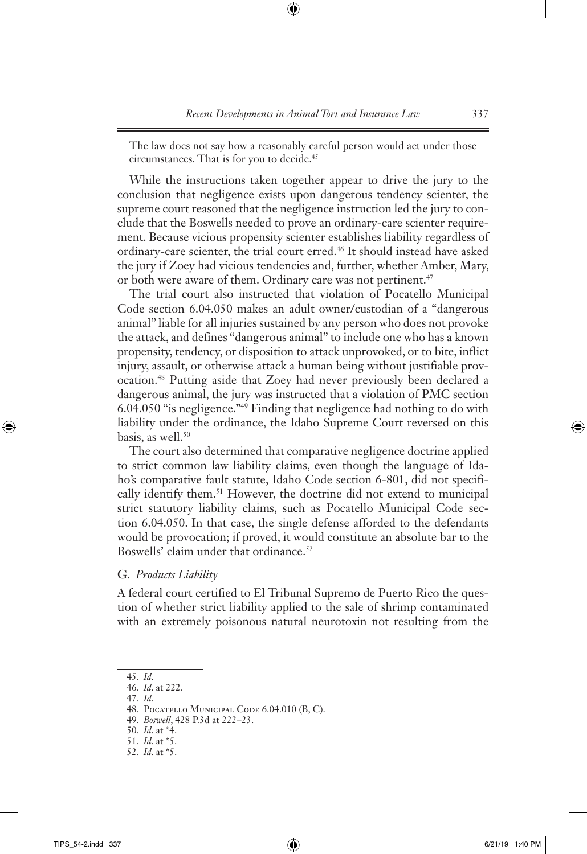The law does not say how a reasonably careful person would act under those circumstances. That is for you to decide.<sup>45</sup>

While the instructions taken together appear to drive the jury to the conclusion that negligence exists upon dangerous tendency scienter, the supreme court reasoned that the negligence instruction led the jury to conclude that the Boswells needed to prove an ordinary-care scienter requirement. Because vicious propensity scienter establishes liability regardless of ordinary-care scienter, the trial court erred.46 It should instead have asked the jury if Zoey had vicious tendencies and, further, whether Amber, Mary, or both were aware of them. Ordinary care was not pertinent.<sup>47</sup>

The trial court also instructed that violation of Pocatello Municipal Code section 6.04.050 makes an adult owner/custodian of a "dangerous animal" liable for all injuries sustained by any person who does not provoke the attack, and defines "dangerous animal" to include one who has a known propensity, tendency, or disposition to attack unprovoked, or to bite, inflict injury, assault, or otherwise attack a human being without justifiable provocation.48 Putting aside that Zoey had never previously been declared a dangerous animal, the jury was instructed that a violation of PMC section 6.04.050 "is negligence."49 Finding that negligence had nothing to do with liability under the ordinance, the Idaho Supreme Court reversed on this basis, as well.<sup>50</sup>

The court also determined that comparative negligence doctrine applied to strict common law liability claims, even though the language of Idaho's comparative fault statute, Idaho Code section 6-801, did not specifically identify them.<sup>51</sup> However, the doctrine did not extend to municipal strict statutory liability claims, such as Pocatello Municipal Code section 6.04.050. In that case, the single defense afforded to the defendants would be provocation; if proved, it would constitute an absolute bar to the Boswells' claim under that ordinance.<sup>52</sup>

G. *Products Liability*

A federal court certified to El Tribunal Supremo de Puerto Rico the question of whether strict liability applied to the sale of shrimp contaminated with an extremely poisonous natural neurotoxin not resulting from the

47. *Id*.

<sup>45.</sup> *Id*.

<sup>46.</sup> *Id*. at 222.

<sup>48.</sup> Pocatello Municipal Code 6.04.010 (B, C).

<sup>49.</sup> *Boswell*, 428 P.3d at 222–23.

<sup>50.</sup> *Id*. at \*4.

<sup>51.</sup> *Id*. at \*5.

<sup>52.</sup> *Id*. at \*5.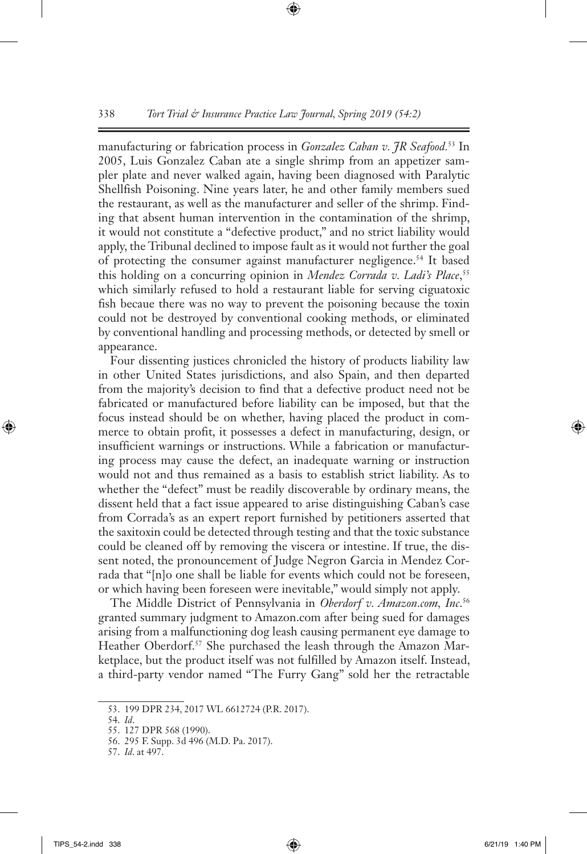manufacturing or fabrication process in *Gonzalez Caban v. JR Seafood.*53 In 2005, Luis Gonzalez Caban ate a single shrimp from an appetizer sampler plate and never walked again, having been diagnosed with Paralytic Shellfish Poisoning. Nine years later, he and other family members sued the restaurant, as well as the manufacturer and seller of the shrimp. Finding that absent human intervention in the contamination of the shrimp, it would not constitute a "defective product," and no strict liability would apply, the Tribunal declined to impose fault as it would not further the goal of protecting the consumer against manufacturer negligence.<sup>54</sup> It based this holding on a concurring opinion in *Mendez Corrada v. Ladi's Place*, 55 which similarly refused to hold a restaurant liable for serving ciguatoxic fish becaue there was no way to prevent the poisoning because the toxin could not be destroyed by conventional cooking methods, or eliminated by conventional handling and processing methods, or detected by smell or appearance.

Four dissenting justices chronicled the history of products liability law in other United States jurisdictions, and also Spain, and then departed from the majority's decision to find that a defective product need not be fabricated or manufactured before liability can be imposed, but that the focus instead should be on whether, having placed the product in commerce to obtain profit, it possesses a defect in manufacturing, design, or insufficient warnings or instructions. While a fabrication or manufacturing process may cause the defect, an inadequate warning or instruction would not and thus remained as a basis to establish strict liability. As to whether the "defect" must be readily discoverable by ordinary means, the dissent held that a fact issue appeared to arise distinguishing Caban's case from Corrada's as an expert report furnished by petitioners asserted that the saxitoxin could be detected through testing and that the toxic substance could be cleaned off by removing the viscera or intestine. If true, the dissent noted, the pronouncement of Judge Negron Garcia in Mendez Corrada that "[n]o one shall be liable for events which could not be foreseen, or which having been foreseen were inevitable," would simply not apply.

The Middle District of Pennsylvania in *Oberdorf v. Amazon.com, Inc*. 56 granted summary judgment to Amazon.com after being sued for damages arising from a malfunctioning dog leash causing permanent eye damage to Heather Oberdorf.<sup>57</sup> She purchased the leash through the Amazon Marketplace, but the product itself was not fulfilled by Amazon itself. Instead, a third-party vendor named "The Furry Gang" sold her the retractable

<sup>53.</sup> 199 DPR 234, 2017 WL 6612724 (P.R. 2017).

<sup>54.</sup> *Id*.

<sup>55.</sup> 127 DPR 568 (1990).

<sup>56.</sup> 295 F. Supp. 3d 496 (M.D. Pa. 2017).

<sup>57.</sup> *Id*. at 497.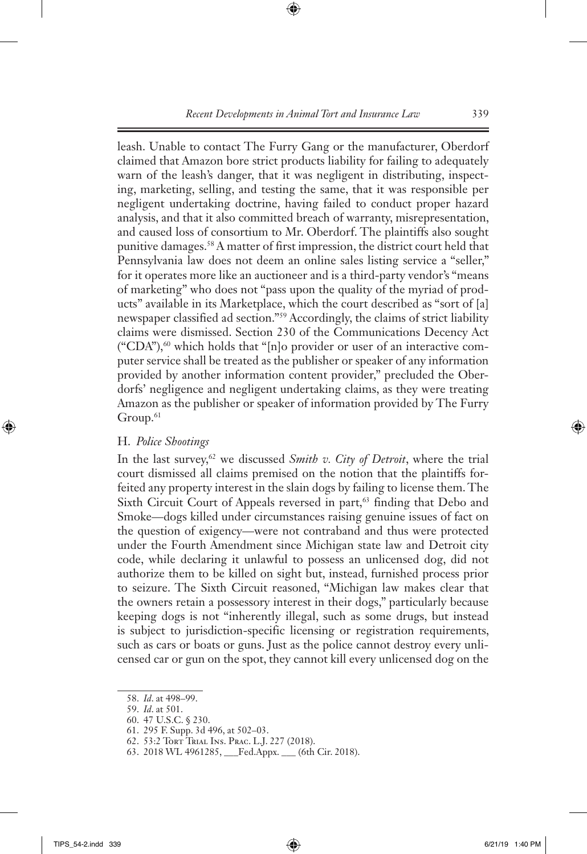leash. Unable to contact The Furry Gang or the manufacturer, Oberdorf claimed that Amazon bore strict products liability for failing to adequately warn of the leash's danger, that it was negligent in distributing, inspecting, marketing, selling, and testing the same, that it was responsible per negligent undertaking doctrine, having failed to conduct proper hazard analysis, and that it also committed breach of warranty, misrepresentation, and caused loss of consortium to Mr. Oberdorf. The plaintiffs also sought punitive damages.<sup>58</sup> A matter of first impression, the district court held that Pennsylvania law does not deem an online sales listing service a "seller," for it operates more like an auctioneer and is a third-party vendor's "means of marketing" who does not "pass upon the quality of the myriad of products" available in its Marketplace, which the court described as "sort of [a] newspaper classified ad section."59 Accordingly, the claims of strict liability claims were dismissed. Section 230 of the Communications Decency Act  $("CDA"),<sup>60</sup>$  which holds that "[n]o provider or user of an interactive computer service shall be treated as the publisher or speaker of any information provided by another information content provider," precluded the Oberdorfs' negligence and negligent undertaking claims, as they were treating Amazon as the publisher or speaker of information provided by The Furry  $Group.<sup>61</sup>$ 

### H. *Police Shootings*

In the last survey,62 we discussed *Smith v. City of Detroit*, where the trial court dismissed all claims premised on the notion that the plaintiffs forfeited any property interest in the slain dogs by failing to license them. The Sixth Circuit Court of Appeals reversed in part,<sup>63</sup> finding that Debo and Smoke—dogs killed under circumstances raising genuine issues of fact on the question of exigency—were not contraband and thus were protected under the Fourth Amendment since Michigan state law and Detroit city code, while declaring it unlawful to possess an unlicensed dog, did not authorize them to be killed on sight but, instead, furnished process prior to seizure. The Sixth Circuit reasoned, "Michigan law makes clear that the owners retain a possessory interest in their dogs," particularly because keeping dogs is not "inherently illegal, such as some drugs, but instead is subject to jurisdiction-specific licensing or registration requirements, such as cars or boats or guns. Just as the police cannot destroy every unlicensed car or gun on the spot, they cannot kill every unlicensed dog on the

<sup>58.</sup> *Id*. at 498–99.

<sup>59.</sup> *Id*. at 501.

<sup>60.</sup> 47 U.S.C. § 230.

<sup>61.</sup> 295 F. Supp. 3d 496, at 502–03.

<sup>62.</sup> 53:2 Tort Trial Ins. Prac. L.J. 227 (2018).

<sup>63.</sup> 2018 WL 4961285, \_\_\_Fed.Appx. \_\_\_ (6th Cir. 2018).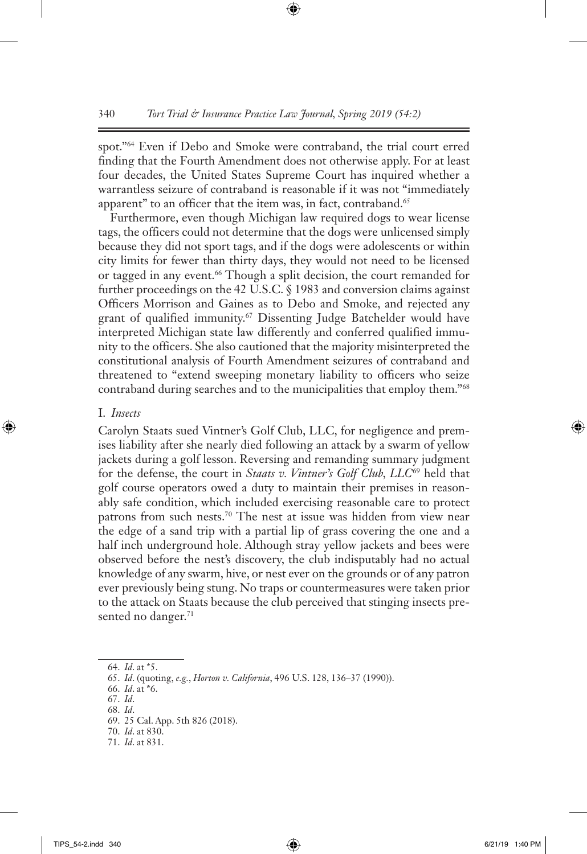spot."64 Even if Debo and Smoke were contraband, the trial court erred finding that the Fourth Amendment does not otherwise apply. For at least four decades, the United States Supreme Court has inquired whether a warrantless seizure of contraband is reasonable if it was not "immediately apparent" to an officer that the item was, in fact, contraband.<sup>65</sup>

Furthermore, even though Michigan law required dogs to wear license tags, the officers could not determine that the dogs were unlicensed simply because they did not sport tags, and if the dogs were adolescents or within city limits for fewer than thirty days, they would not need to be licensed or tagged in any event.<sup>66</sup> Though a split decision, the court remanded for further proceedings on the 42 U.S.C. § 1983 and conversion claims against Officers Morrison and Gaines as to Debo and Smoke, and rejected any grant of qualified immunity.<sup>67</sup> Dissenting Judge Batchelder would have interpreted Michigan state law differently and conferred qualified immunity to the officers. She also cautioned that the majority misinterpreted the constitutional analysis of Fourth Amendment seizures of contraband and threatened to "extend sweeping monetary liability to officers who seize contraband during searches and to the municipalities that employ them."68

#### I. *Insects*

Carolyn Staats sued Vintner's Golf Club, LLC, for negligence and premises liability after she nearly died following an attack by a swarm of yellow jackets during a golf lesson. Reversing and remanding summary judgment for the defense, the court in *Staats v. Vintner's Golf Club, LLC*69 held that golf course operators owed a duty to maintain their premises in reasonably safe condition, which included exercising reasonable care to protect patrons from such nests.<sup>70</sup> The nest at issue was hidden from view near the edge of a sand trip with a partial lip of grass covering the one and a half inch underground hole. Although stray yellow jackets and bees were observed before the nest's discovery, the club indisputably had no actual knowledge of any swarm, hive, or nest ever on the grounds or of any patron ever previously being stung. No traps or countermeasures were taken prior to the attack on Staats because the club perceived that stinging insects presented no danger.<sup>71</sup>

68. *Id*.

70. *Id*. at 830.

<sup>64.</sup> *Id*. at \*5.

<sup>65.</sup> *Id*. (quoting, *e.g.*, *Horton v. California*, 496 U.S. 128, 136–37 (1990)).

<sup>66.</sup> *Id*. at \*6.

<sup>67.</sup> *Id*.

<sup>69.</sup> 25 Cal. App. 5th 826 (2018).

<sup>71.</sup> *Id*. at 831.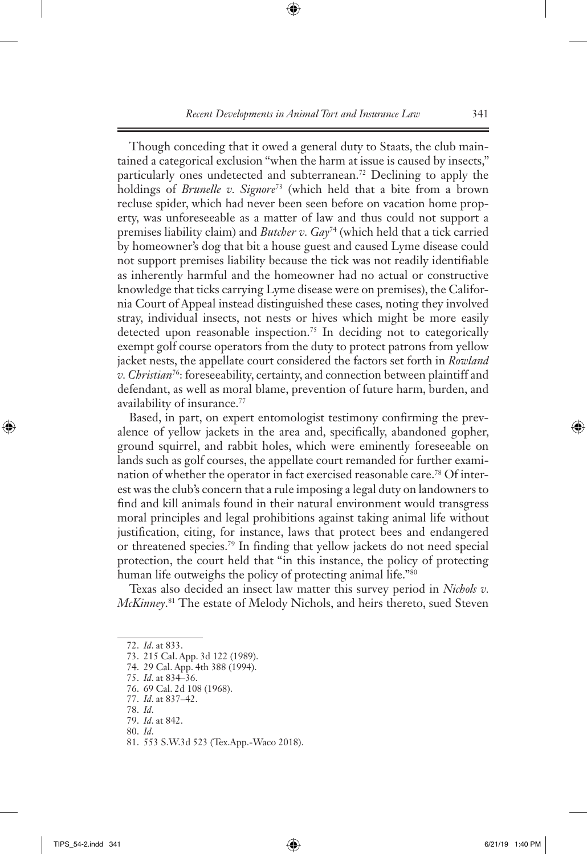Though conceding that it owed a general duty to Staats, the club maintained a categorical exclusion "when the harm at issue is caused by insects," particularly ones undetected and subterranean.72 Declining to apply the holdings of *Brunelle v. Signore*73 (which held that a bite from a brown recluse spider, which had never been seen before on vacation home property, was unforeseeable as a matter of law and thus could not support a premises liability claim) and *Butcher v. Gay*74 (which held that a tick carried by homeowner's dog that bit a house guest and caused Lyme disease could not support premises liability because the tick was not readily identifiable as inherently harmful and the homeowner had no actual or constructive knowledge that ticks carrying Lyme disease were on premises), the California Court of Appeal instead distinguished these cases*,* noting they involved stray, individual insects, not nests or hives which might be more easily detected upon reasonable inspection.<sup>75</sup> In deciding not to categorically exempt golf course operators from the duty to protect patrons from yellow jacket nests, the appellate court considered the factors set forth in *Rowland v. Christian*76: foreseeability, certainty, and connection between plaintiff and defendant, as well as moral blame, prevention of future harm, burden, and availability of insurance.<sup>77</sup>

Based, in part, on expert entomologist testimony confirming the prevalence of yellow jackets in the area and, specifically, abandoned gopher, ground squirrel, and rabbit holes, which were eminently foreseeable on lands such as golf courses, the appellate court remanded for further examination of whether the operator in fact exercised reasonable care.78 Of interest was the club's concern that a rule imposing a legal duty on landowners to find and kill animals found in their natural environment would transgress moral principles and legal prohibitions against taking animal life without justification, citing, for instance, laws that protect bees and endangered or threatened species.79 In finding that yellow jackets do not need special protection, the court held that "in this instance, the policy of protecting human life outweighs the policy of protecting animal life."80

Texas also decided an insect law matter this survey period in *Nichols v. McKinney*. 81 The estate of Melody Nichols, and heirs thereto, sued Steven

<sup>72.</sup> *Id*. at 833.

<sup>73.</sup> 215 Cal. App. 3d 122 (1989).

<sup>74.</sup> 29 Cal. App. 4th 388 (1994).

<sup>75.</sup> *Id*. at 834–36.

<sup>76.</sup> 69 Cal. 2d 108 (1968).

<sup>77.</sup> *Id*. at 837–42.

<sup>78.</sup> *Id*.

<sup>79.</sup> *Id*. at 842.

<sup>80.</sup> *Id*.

<sup>81.</sup> 553 S.W.3d 523 (Tex.App.-Waco 2018).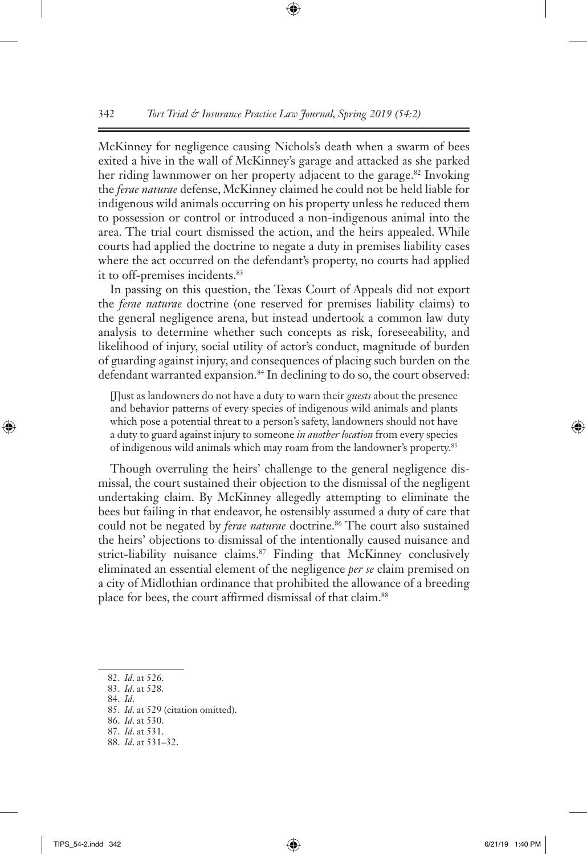McKinney for negligence causing Nichols's death when a swarm of bees exited a hive in the wall of McKinney's garage and attacked as she parked her riding lawnmower on her property adjacent to the garage.<sup>82</sup> Invoking the *ferae naturae* defense, McKinney claimed he could not be held liable for indigenous wild animals occurring on his property unless he reduced them to possession or control or introduced a non-indigenous animal into the area. The trial court dismissed the action, and the heirs appealed. While courts had applied the doctrine to negate a duty in premises liability cases where the act occurred on the defendant's property, no courts had applied it to off-premises incidents.<sup>83</sup>

In passing on this question, the Texas Court of Appeals did not export the *ferae naturae* doctrine (one reserved for premises liability claims) to the general negligence arena, but instead undertook a common law duty analysis to determine whether such concepts as risk, foreseeability, and likelihood of injury, social utility of actor's conduct, magnitude of burden of guarding against injury, and consequences of placing such burden on the defendant warranted expansion.<sup>84</sup> In declining to do so, the court observed:

[J]ust as landowners do not have a duty to warn their *guests* about the presence and behavior patterns of every species of indigenous wild animals and plants which pose a potential threat to a person's safety, landowners should not have a duty to guard against injury to someone *in another location* from every species of indigenous wild animals which may roam from the landowner's property.85

Though overruling the heirs' challenge to the general negligence dismissal, the court sustained their objection to the dismissal of the negligent undertaking claim. By McKinney allegedly attempting to eliminate the bees but failing in that endeavor, he ostensibly assumed a duty of care that could not be negated by *ferae naturae* doctrine.<sup>86</sup> The court also sustained the heirs' objections to dismissal of the intentionally caused nuisance and strict-liability nuisance claims.<sup>87</sup> Finding that McKinney conclusively eliminated an essential element of the negligence *per se* claim premised on a city of Midlothian ordinance that prohibited the allowance of a breeding place for bees, the court affirmed dismissal of that claim.<sup>88</sup>

- 83. *Id*. at 528.
- 84. *Id*.
- 85. *Id*. at 529 (citation omitted).
- 86. *Id*. at 530.
- 87. *Id*. at 531.
- 88. *Id*. at 531–32.

<sup>82.</sup> *Id*. at 526.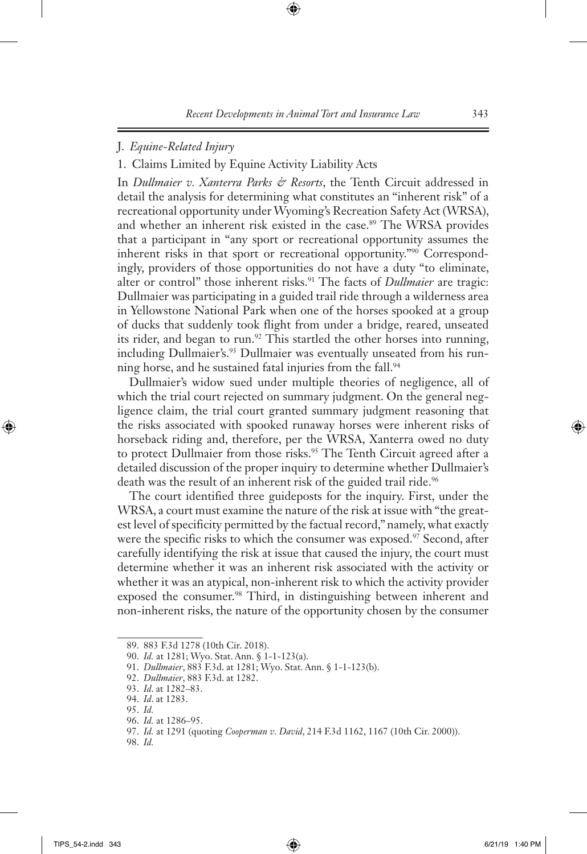## J. *Equine-Related Injury*

1. Claims Limited by Equine Activity Liability Acts

In *Dullmaier v. Xanterra Parks & Resorts*, the Tenth Circuit addressed in detail the analysis for determining what constitutes an "inherent risk" of a recreational opportunity under Wyoming's Recreation Safety Act (WRSA), and whether an inherent risk existed in the case.<sup>89</sup> The WRSA provides that a participant in "any sport or recreational opportunity assumes the inherent risks in that sport or recreational opportunity."90 Correspondingly, providers of those opportunities do not have a duty "to eliminate, alter or control" those inherent risks.<sup>91</sup> The facts of *Dullmaier* are tragic: Dullmaier was participating in a guided trail ride through a wilderness area in Yellowstone National Park when one of the horses spooked at a group of ducks that suddenly took flight from under a bridge, reared, unseated its rider, and began to run.<sup>92</sup> This startled the other horses into running, including Dullmaier's.<sup>93</sup> Dullmaier was eventually unseated from his running horse, and he sustained fatal injuries from the fall.<sup>94</sup>

Dullmaier's widow sued under multiple theories of negligence, all of which the trial court rejected on summary judgment. On the general negligence claim, the trial court granted summary judgment reasoning that the risks associated with spooked runaway horses were inherent risks of horseback riding and, therefore, per the WRSA, Xanterra owed no duty to protect Dullmaier from those risks.<sup>95</sup> The Tenth Circuit agreed after a detailed discussion of the proper inquiry to determine whether Dullmaier's death was the result of an inherent risk of the guided trail ride.<sup>96</sup>

The court identified three guideposts for the inquiry. First, under the WRSA, a court must examine the nature of the risk at issue with "the greatest level of specificity permitted by the factual record," namely, what exactly were the specific risks to which the consumer was exposed.<sup>97</sup> Second, after carefully identifying the risk at issue that caused the injury, the court must determine whether it was an inherent risk associated with the activity or whether it was an atypical, non-inherent risk to which the activity provider exposed the consumer.<sup>98</sup> Third, in distinguishing between inherent and non-inherent risks, the nature of the opportunity chosen by the consumer

<sup>89.</sup> 883 F.3d 1278 (10th Cir. 2018).

<sup>90.</sup> *Id.* at 1281; Wyo. Stat. Ann. § 1-1-123(a).

<sup>91.</sup> *Dullmaier*, 883 F.3d. at 1281; Wyo. Stat. Ann. § 1-1-123(b).

<sup>92.</sup> *Dullmaier*, 883 F.3d. at 1282.

<sup>93.</sup> *Id*. at 1282–83.

<sup>94.</sup> *Id*. at 1283.

<sup>95.</sup> *Id.*

<sup>96.</sup> *Id.* at 1286–95.

<sup>97.</sup> *Id.* at 1291 (quoting *Cooperman v. David*, 214 F.3d 1162, 1167 (10th Cir. 2000)).

<sup>98.</sup> *Id.*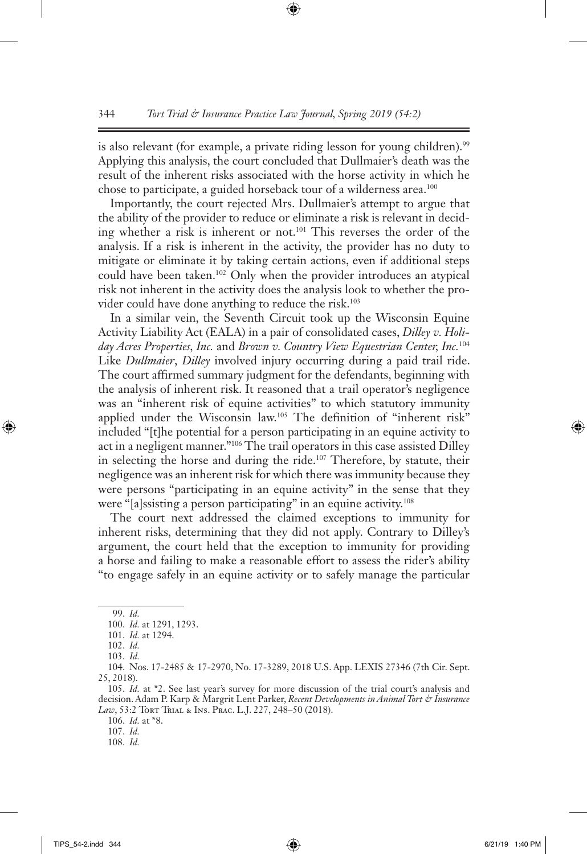is also relevant (for example, a private riding lesson for young children).<sup>99</sup> Applying this analysis, the court concluded that Dullmaier's death was the result of the inherent risks associated with the horse activity in which he chose to participate, a guided horseback tour of a wilderness area.<sup>100</sup>

Importantly, the court rejected Mrs. Dullmaier's attempt to argue that the ability of the provider to reduce or eliminate a risk is relevant in deciding whether a risk is inherent or not.101 This reverses the order of the analysis. If a risk is inherent in the activity, the provider has no duty to mitigate or eliminate it by taking certain actions, even if additional steps could have been taken.102 Only when the provider introduces an atypical risk not inherent in the activity does the analysis look to whether the provider could have done anything to reduce the risk.<sup>103</sup>

In a similar vein, the Seventh Circuit took up the Wisconsin Equine Activity Liability Act (EALA) in a pair of consolidated cases, *Dilley v. Holiday Acres Properties, Inc.* and *Brown v. Country View Equestrian Center, Inc.*<sup>104</sup> Like *Dullmaier*, *Dilley* involved injury occurring during a paid trail ride. The court affirmed summary judgment for the defendants, beginning with the analysis of inherent risk. It reasoned that a trail operator's negligence was an "inherent risk of equine activities" to which statutory immunity applied under the Wisconsin law.<sup>105</sup> The definition of "inherent risk" included "[t]he potential for a person participating in an equine activity to act in a negligent manner."106 The trail operators in this case assisted Dilley in selecting the horse and during the ride.<sup>107</sup> Therefore, by statute, their negligence was an inherent risk for which there was immunity because they were persons "participating in an equine activity" in the sense that they were "[a]ssisting a person participating" in an equine activity.<sup>108</sup>

The court next addressed the claimed exceptions to immunity for inherent risks, determining that they did not apply. Contrary to Dilley's argument, the court held that the exception to immunity for providing a horse and failing to make a reasonable effort to assess the rider's ability "to engage safely in an equine activity or to safely manage the particular

<sup>99.</sup> *Id.*

<sup>100.</sup> *Id.* at 1291, 1293.

<sup>101.</sup> *Id.* at 1294.

<sup>102.</sup> *Id.*

<sup>103.</sup> *Id.*

<sup>104.</sup> Nos. 17-2485 & 17-2970, No. 17-3289, 2018 U.S. App. LEXIS 27346 (7th Cir. Sept. 25, 2018).

<sup>105.</sup> *Id.* at \*2. See last year's survey for more discussion of the trial court's analysis and decision. Adam P. Karp & Margrit Lent Parker, *Recent Developments in Animal Tort & Insurance*  Law, 53:2 TORT TRIAL & INS. PRAC. L.J. 227, 248-50 (2018).

<sup>106.</sup> *Id.* at \*8.

<sup>107.</sup> *Id.*

<sup>108.</sup> *Id.*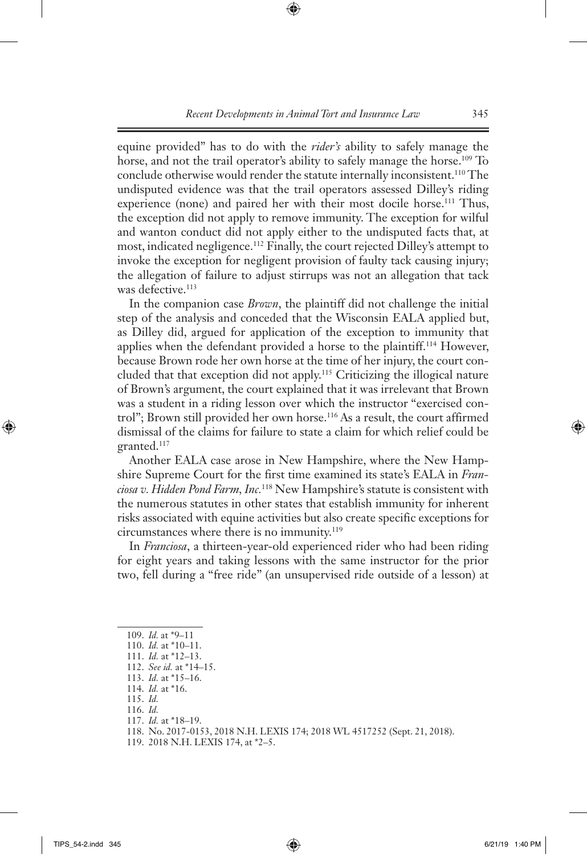equine provided" has to do with the *rider's* ability to safely manage the horse, and not the trail operator's ability to safely manage the horse.<sup>109</sup> To conclude otherwise would render the statute internally inconsistent.<sup>110</sup> The undisputed evidence was that the trail operators assessed Dilley's riding experience (none) and paired her with their most docile horse.<sup>111</sup> Thus, the exception did not apply to remove immunity. The exception for wilful and wanton conduct did not apply either to the undisputed facts that, at most, indicated negligence.112 Finally, the court rejected Dilley's attempt to invoke the exception for negligent provision of faulty tack causing injury; the allegation of failure to adjust stirrups was not an allegation that tack was defective.<sup>113</sup>

In the companion case *Brown*, the plaintiff did not challenge the initial step of the analysis and conceded that the Wisconsin EALA applied but, as Dilley did, argued for application of the exception to immunity that applies when the defendant provided a horse to the plaintiff.114 However, because Brown rode her own horse at the time of her injury, the court concluded that that exception did not apply.115 Criticizing the illogical nature of Brown's argument, the court explained that it was irrelevant that Brown was a student in a riding lesson over which the instructor "exercised control"; Brown still provided her own horse.116 As a result, the court affirmed dismissal of the claims for failure to state a claim for which relief could be granted.117

Another EALA case arose in New Hampshire, where the New Hampshire Supreme Court for the first time examined its state's EALA in *Franciosa v. Hidden Pond Farm, Inc.*118 New Hampshire's statute is consistent with the numerous statutes in other states that establish immunity for inherent risks associated with equine activities but also create specific exceptions for circumstances where there is no immunity.119

In *Franciosa*, a thirteen-year-old experienced rider who had been riding for eight years and taking lessons with the same instructor for the prior two, fell during a "free ride" (an unsupervised ride outside of a lesson) at

117. *Id.* at \*18–19.

<sup>109.</sup> *Id.* at \*9–11

<sup>110.</sup> *Id.* at \*10–11.

<sup>111.</sup> *Id.* at \*12–13.

<sup>112.</sup> *See id.* at \*14–15.

<sup>113.</sup> *Id.* at \*15–16.

<sup>114.</sup> *Id.* at \*16.

<sup>115.</sup> *Id.*

<sup>116.</sup> *Id.*

<sup>118.</sup> No. 2017-0153, 2018 N.H. LEXIS 174; 2018 WL 4517252 (Sept. 21, 2018).

<sup>119.</sup> 2018 N.H. LEXIS 174, at \*2–5.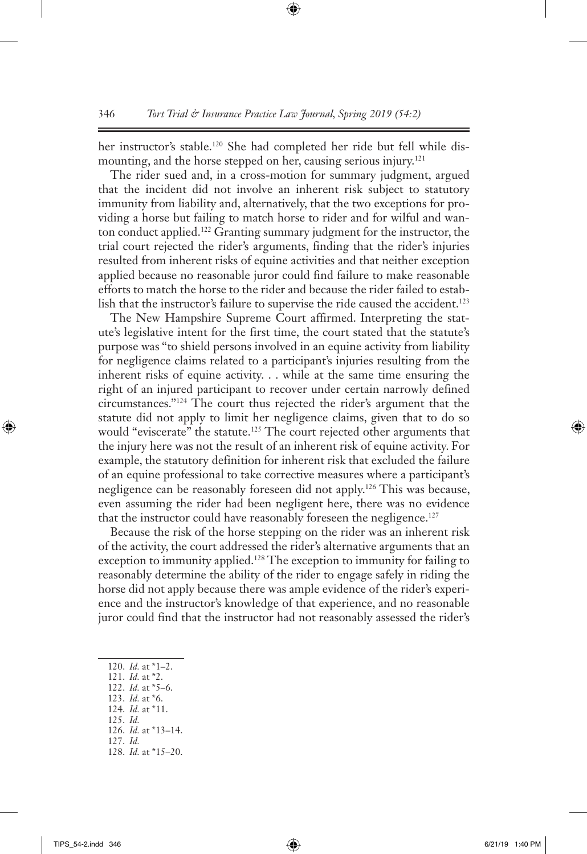her instructor's stable.<sup>120</sup> She had completed her ride but fell while dismounting, and the horse stepped on her, causing serious injury.<sup>121</sup>

The rider sued and, in a cross-motion for summary judgment, argued that the incident did not involve an inherent risk subject to statutory immunity from liability and, alternatively, that the two exceptions for providing a horse but failing to match horse to rider and for wilful and wanton conduct applied.122 Granting summary judgment for the instructor, the trial court rejected the rider's arguments, finding that the rider's injuries resulted from inherent risks of equine activities and that neither exception applied because no reasonable juror could find failure to make reasonable efforts to match the horse to the rider and because the rider failed to establish that the instructor's failure to supervise the ride caused the accident.<sup>123</sup>

The New Hampshire Supreme Court affirmed. Interpreting the statute's legislative intent for the first time, the court stated that the statute's purpose was "to shield persons involved in an equine activity from liability for negligence claims related to a participant's injuries resulting from the inherent risks of equine activity. . . while at the same time ensuring the right of an injured participant to recover under certain narrowly defined circumstances."124 The court thus rejected the rider's argument that the statute did not apply to limit her negligence claims, given that to do so would "eviscerate" the statute.<sup>125</sup> The court rejected other arguments that the injury here was not the result of an inherent risk of equine activity. For example, the statutory definition for inherent risk that excluded the failure of an equine professional to take corrective measures where a participant's negligence can be reasonably foreseen did not apply.126 This was because, even assuming the rider had been negligent here, there was no evidence that the instructor could have reasonably foreseen the negligence.<sup>127</sup>

Because the risk of the horse stepping on the rider was an inherent risk of the activity, the court addressed the rider's alternative arguments that an exception to immunity applied.<sup>128</sup> The exception to immunity for failing to reasonably determine the ability of the rider to engage safely in riding the horse did not apply because there was ample evidence of the rider's experience and the instructor's knowledge of that experience, and no reasonable juror could find that the instructor had not reasonably assessed the rider's

- 121. *Id.* at \*2.
- 122. *Id.* at \*5–6.
- 123. *Id.* at \*6.
- 124. *Id.* at \*11. 125. *Id.*
- 126. *Id.* at \*13–14.
- 127. *Id.*

<sup>120.</sup> *Id.* at \*1–2.

<sup>128.</sup> *Id.* at \*15–20.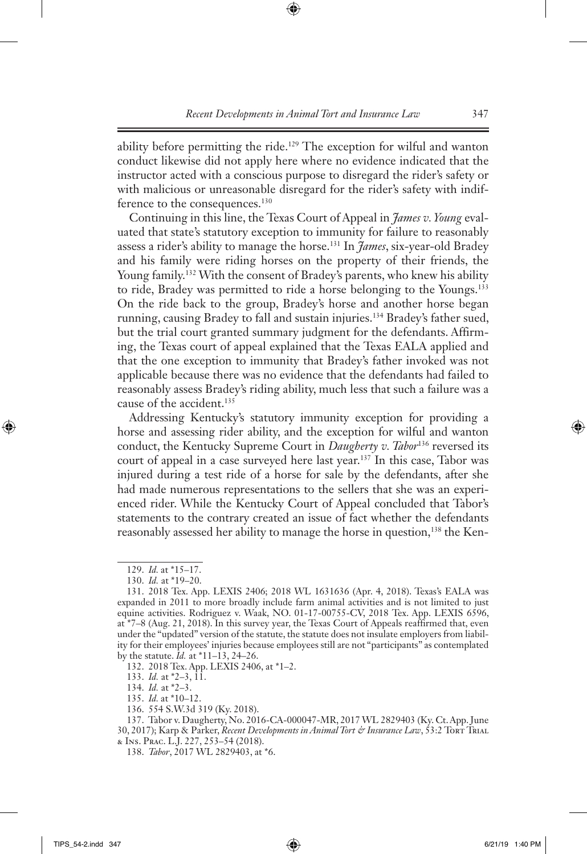ability before permitting the ride.<sup>129</sup> The exception for wilful and wanton conduct likewise did not apply here where no evidence indicated that the instructor acted with a conscious purpose to disregard the rider's safety or with malicious or unreasonable disregard for the rider's safety with indifference to the consequences.<sup>130</sup>

Continuing in this line, the Texas Court of Appeal in *James v. Young* evaluated that state's statutory exception to immunity for failure to reasonably assess a rider's ability to manage the horse.131 In *James*, six-year-old Bradey and his family were riding horses on the property of their friends, the Young family.<sup>132</sup> With the consent of Bradey's parents, who knew his ability to ride, Bradey was permitted to ride a horse belonging to the Youngs.133 On the ride back to the group, Bradey's horse and another horse began running, causing Bradey to fall and sustain injuries.134 Bradey's father sued, but the trial court granted summary judgment for the defendants. Affirming, the Texas court of appeal explained that the Texas EALA applied and that the one exception to immunity that Bradey's father invoked was not applicable because there was no evidence that the defendants had failed to reasonably assess Bradey's riding ability, much less that such a failure was a cause of the accident.<sup>135</sup>

Addressing Kentucky's statutory immunity exception for providing a horse and assessing rider ability, and the exception for wilful and wanton conduct, the Kentucky Supreme Court in *Daugherty v. Tabor*<sup>136</sup> reversed its court of appeal in a case surveyed here last year.137 In this case, Tabor was injured during a test ride of a horse for sale by the defendants, after she had made numerous representations to the sellers that she was an experienced rider. While the Kentucky Court of Appeal concluded that Tabor's statements to the contrary created an issue of fact whether the defendants reasonably assessed her ability to manage the horse in question,<sup>138</sup> the Ken-

132. 2018 Tex. App. LEXIS 2406, at \*1–2.

133. *Id.* at \*2–3, 11.

134. *Id.* at \*2–3.

135. *Id.* at \*10–12.

136. 554 S.W.3d 319 (Ky. 2018).

137. Tabor v. Daugherty, No. 2016-CA-000047-MR, 2017 WL 2829403 (Ky. Ct. App. June 30, 2017); Karp & Parker, *Recent Developments in Animal Tort & Insurance Law*, 53:2 Tort TriAL & Ins. Prac. L.J. 227, 253–54 (2018).

138. *Tabor*, 2017 WL 2829403, at \*6.

<sup>129.</sup> *Id.* at \*15–17.

<sup>130.</sup> *Id.* at \*19–20.

<sup>131.</sup> 2018 Tex. App. LEXIS 2406; 2018 WL 1631636 (Apr. 4, 2018). Texas's EALA was expanded in 2011 to more broadly include farm animal activities and is not limited to just equine activities. Rodriguez v. Waak, NO. 01-17-00755-CV, 2018 Tex. App. LEXIS 6596, at \*7–8 (Aug. 21, 2018). In this survey year, the Texas Court of Appeals reaffirmed that, even under the "updated" version of the statute, the statute does not insulate employers from liability for their employees' injuries because employees still are not "participants" as contemplated by the statute. *Id.* at \*11–13, 24–26.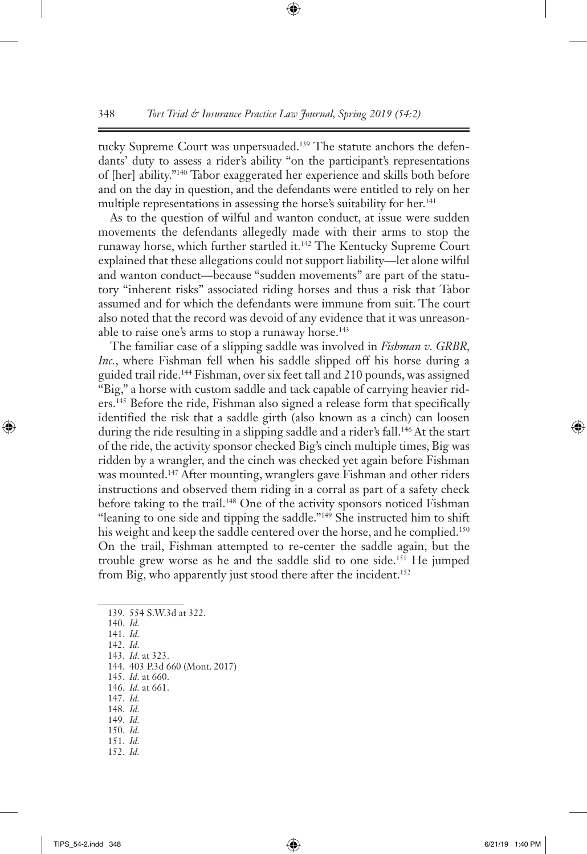tucky Supreme Court was unpersuaded.<sup>139</sup> The statute anchors the defendants' duty to assess a rider's ability "on the participant's representations of [her] ability."140 Tabor exaggerated her experience and skills both before and on the day in question, and the defendants were entitled to rely on her multiple representations in assessing the horse's suitability for her.<sup>141</sup>

As to the question of wilful and wanton conduct, at issue were sudden movements the defendants allegedly made with their arms to stop the runaway horse, which further startled it.142 The Kentucky Supreme Court explained that these allegations could not support liability—let alone wilful and wanton conduct—because "sudden movements" are part of the statutory "inherent risks" associated riding horses and thus a risk that Tabor assumed and for which the defendants were immune from suit. The court also noted that the record was devoid of any evidence that it was unreasonable to raise one's arms to stop a runaway horse.<sup>143</sup>

The familiar case of a slipping saddle was involved in *Fishman v. GRBR, Inc.*, where Fishman fell when his saddle slipped off his horse during a guided trail ride.144 Fishman, over six feet tall and 210 pounds, was assigned "Big," a horse with custom saddle and tack capable of carrying heavier riders.145 Before the ride, Fishman also signed a release form that specifically identified the risk that a saddle girth (also known as a cinch) can loosen during the ride resulting in a slipping saddle and a rider's fall.<sup>146</sup> At the start of the ride, the activity sponsor checked Big's cinch multiple times, Big was ridden by a wrangler, and the cinch was checked yet again before Fishman was mounted.<sup>147</sup> After mounting, wranglers gave Fishman and other riders instructions and observed them riding in a corral as part of a safety check before taking to the trail.<sup>148</sup> One of the activity sponsors noticed Fishman "leaning to one side and tipping the saddle."149 She instructed him to shift his weight and keep the saddle centered over the horse, and he complied.<sup>150</sup> On the trail, Fishman attempted to re-center the saddle again, but the trouble grew worse as he and the saddle slid to one side.151 He jumped from Big, who apparently just stood there after the incident.<sup>152</sup>

139. 554 S.W.3d at 322. 140. *Id.* 141. *Id.* 142. *Id.* 143. *Id.* at 323. 144. 403 P.3d 660 (Mont. 2017) 145. *Id.* at 660. 146. *Id.* at 661. 147. *Id.* 148. *Id.* 149. *Id.* 150. *Id.* 151. *Id.* 152. *Id.*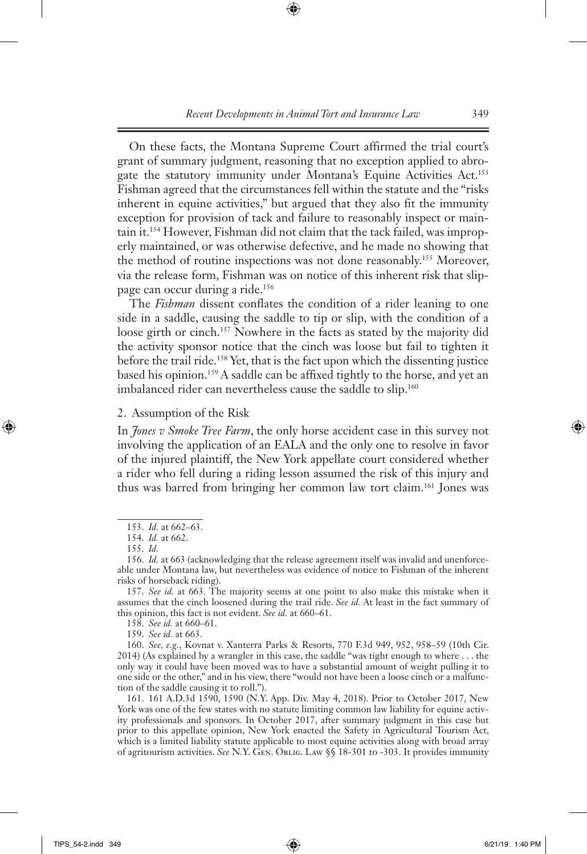On these facts, the Montana Supreme Court affirmed the trial court's grant of summary judgment, reasoning that no exception applied to abrogate the statutory immunity under Montana's Equine Activities Act.<sup>153</sup> Fishman agreed that the circumstances fell within the statute and the "risks inherent in equine activities," but argued that they also fit the immunity exception for provision of tack and failure to reasonably inspect or maintain it.154 However, Fishman did not claim that the tack failed, was improperly maintained, or was otherwise defective, and he made no showing that the method of routine inspections was not done reasonably.155 Moreover, via the release form, Fishman was on notice of this inherent risk that slippage can occur during a ride.<sup>156</sup>

The *Fishman* dissent conflates the condition of a rider leaning to one side in a saddle, causing the saddle to tip or slip, with the condition of a loose girth or cinch.<sup>157</sup> Nowhere in the facts as stated by the majority did the activity sponsor notice that the cinch was loose but fail to tighten it before the trail ride.<sup>158</sup> Yet, that is the fact upon which the dissenting justice based his opinion.<sup>159</sup> A saddle can be affixed tightly to the horse, and yet an imbalanced rider can nevertheless cause the saddle to slip.<sup>160</sup>

2. Assumption of the Risk

In *Jones v Smoke Tree Farm*, the only horse accident case in this survey not involving the application of an EALA and the only one to resolve in favor of the injured plaintiff, the New York appellate court considered whether a rider who fell during a riding lesson assumed the risk of this injury and thus was barred from bringing her common law tort claim.161 Jones was

158. *See id.* at 660–61.

159. *See id.* at 663.

160. *See, e.g.*, Kovnat v. Xanterra Parks & Resorts, 770 F.3d 949, 952, 958–59 (10th Cir. 2014) (As explained by a wrangler in this case, the saddle "was tight enough to where . . . the only way it could have been moved was to have a substantial amount of weight pulling it to one side or the other," and in his view, there "would not have been a loose cinch or a malfunction of the saddle causing it to roll.").

161. 161 A.D.3d 1590, 1590 (N.Y. App. Div. May 4, 2018). Prior to October 2017, New York was one of the few states with no statute limiting common law liability for equine activity professionals and sponsors. In October 2017, after summary judgment in this case but prior to this appellate opinion, New York enacted the Safety in Agricultural Tourism Act, which is a limited liability statute applicable to most equine activities along with broad array of agritourism activities. *See* N.Y. Gen. Oblig. Law §§ 18-301 to -303. It provides immunity

<sup>153.</sup> *Id.* at 662–63.

<sup>154.</sup> *Id.* at 662.

<sup>155.</sup> *Id.*

<sup>156.</sup> *Id.* at 663 (acknowledging that the release agreement itself was invalid and unenforceable under Montana law, but nevertheless was evidence of notice to Fishman of the inherent risks of horseback riding).

<sup>157.</sup> *See id.* at 663. The majority seems at one point to also make this mistake when it assumes that the cinch loosened during the trail ride. *See id.* At least in the fact summary of this opinion, this fact is not evident. *See id.* at 660–61.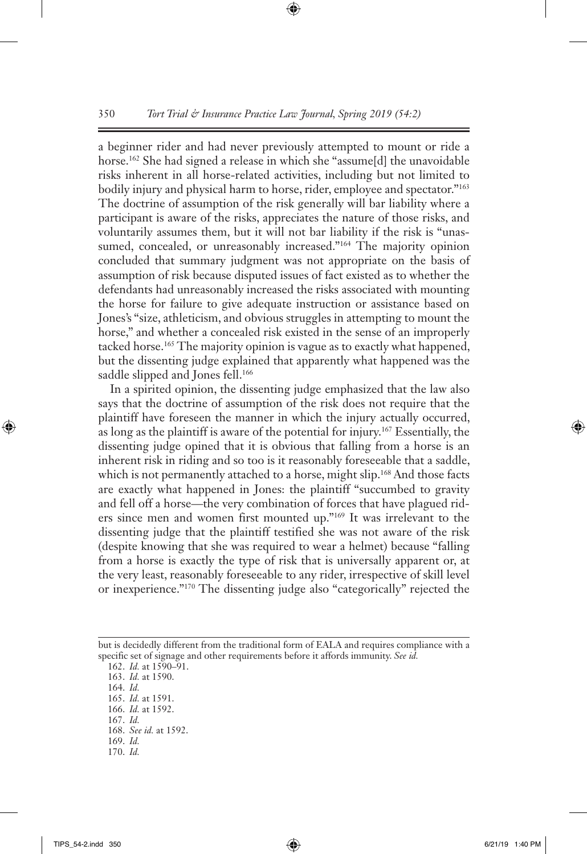a beginner rider and had never previously attempted to mount or ride a horse.<sup>162</sup> She had signed a release in which she "assume[d] the unavoidable risks inherent in all horse-related activities, including but not limited to bodily injury and physical harm to horse, rider, employee and spectator."<sup>163</sup> The doctrine of assumption of the risk generally will bar liability where a participant is aware of the risks, appreciates the nature of those risks, and voluntarily assumes them, but it will not bar liability if the risk is "unassumed, concealed, or unreasonably increased."<sup>164</sup> The majority opinion concluded that summary judgment was not appropriate on the basis of assumption of risk because disputed issues of fact existed as to whether the defendants had unreasonably increased the risks associated with mounting the horse for failure to give adequate instruction or assistance based on Jones's "size, athleticism, and obvious struggles in attempting to mount the horse," and whether a concealed risk existed in the sense of an improperly tacked horse.<sup>165</sup> The majority opinion is vague as to exactly what happened, but the dissenting judge explained that apparently what happened was the saddle slipped and Jones fell.<sup>166</sup>

In a spirited opinion, the dissenting judge emphasized that the law also says that the doctrine of assumption of the risk does not require that the plaintiff have foreseen the manner in which the injury actually occurred, as long as the plaintiff is aware of the potential for injury.167 Essentially, the dissenting judge opined that it is obvious that falling from a horse is an inherent risk in riding and so too is it reasonably foreseeable that a saddle, which is not permanently attached to a horse, might slip.<sup>168</sup> And those facts are exactly what happened in Jones: the plaintiff "succumbed to gravity and fell off a horse—the very combination of forces that have plagued riders since men and women first mounted up."169 It was irrelevant to the dissenting judge that the plaintiff testified she was not aware of the risk (despite knowing that she was required to wear a helmet) because "falling from a horse is exactly the type of risk that is universally apparent or, at the very least, reasonably foreseeable to any rider, irrespective of skill level or inexperience."170 The dissenting judge also "categorically" rejected the

- 169. *Id.*
- 170. *Id.*

but is decidedly different from the traditional form of EALA and requires compliance with a specific set of signage and other requirements before it affords immunity. *See id.*

<sup>162.</sup> *Id.* at 1590–91.

<sup>163.</sup> *Id.* at 1590.

<sup>164.</sup> *Id.*

<sup>165.</sup> *Id.* at 1591.

<sup>166.</sup> *Id.* at 1592.

<sup>167.</sup> *Id.*

<sup>168.</sup> *See id.* at 1592.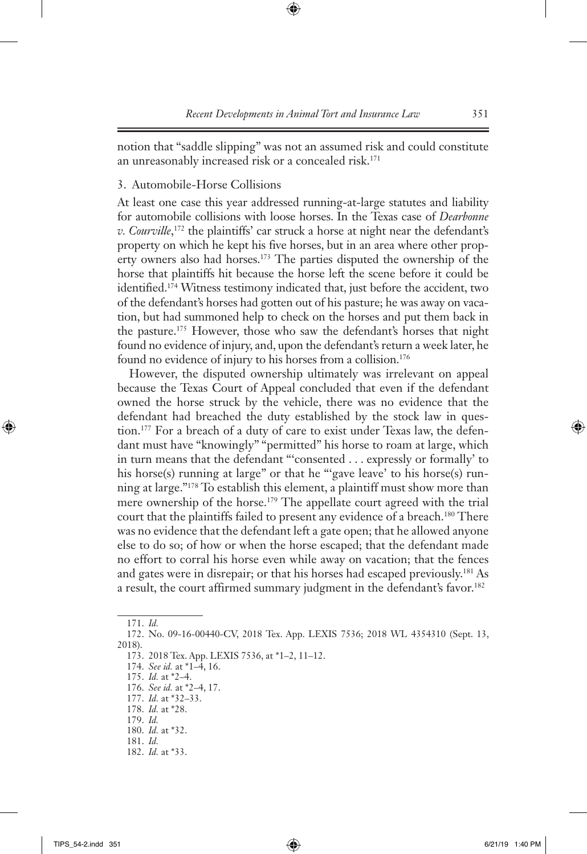notion that "saddle slipping" was not an assumed risk and could constitute an unreasonably increased risk or a concealed risk.<sup>171</sup>

# 3. Automobile-Horse Collisions

At least one case this year addressed running-at-large statutes and liability for automobile collisions with loose horses. In the Texas case of *Dearbonne v. Courville*, 172 the plaintiffs' car struck a horse at night near the defendant's property on which he kept his five horses, but in an area where other property owners also had horses.173 The parties disputed the ownership of the horse that plaintiffs hit because the horse left the scene before it could be identified.174 Witness testimony indicated that, just before the accident, two of the defendant's horses had gotten out of his pasture; he was away on vacation, but had summoned help to check on the horses and put them back in the pasture.175 However, those who saw the defendant's horses that night found no evidence of injury, and, upon the defendant's return a week later, he found no evidence of injury to his horses from a collision.176

However, the disputed ownership ultimately was irrelevant on appeal because the Texas Court of Appeal concluded that even if the defendant owned the horse struck by the vehicle, there was no evidence that the defendant had breached the duty established by the stock law in question.177 For a breach of a duty of care to exist under Texas law, the defendant must have "knowingly" "permitted" his horse to roam at large, which in turn means that the defendant "'consented . . . expressly or formally' to his horse(s) running at large" or that he "'gave leave' to his horse(s) running at large."178 To establish this element, a plaintiff must show more than mere ownership of the horse.179 The appellate court agreed with the trial court that the plaintiffs failed to present any evidence of a breach.180 There was no evidence that the defendant left a gate open; that he allowed anyone else to do so; of how or when the horse escaped; that the defendant made no effort to corral his horse even while away on vacation; that the fences and gates were in disrepair; or that his horses had escaped previously.181 As a result, the court affirmed summary judgment in the defendant's favor.<sup>182</sup>

<sup>171.</sup> *Id.*

<sup>172.</sup> No. 09-16-00440-CV, 2018 Tex. App. LEXIS 7536; 2018 WL 4354310 (Sept. 13, 2018).

<sup>173.</sup> 2018 Tex. App. LEXIS 7536, at \*1–2, 11–12.

<sup>174.</sup> *See id.* at \*1–4, 16.

<sup>175.</sup> *Id.* at \*2–4.

<sup>176.</sup> *See id.* at \*2–4, 17.

<sup>177.</sup> *Id.* at \*32–33. 178. *Id.* at \*28.

<sup>179.</sup> *Id.*

<sup>180.</sup> *Id.* at \*32. 181. *Id.*

<sup>182.</sup> *Id.* at \*33.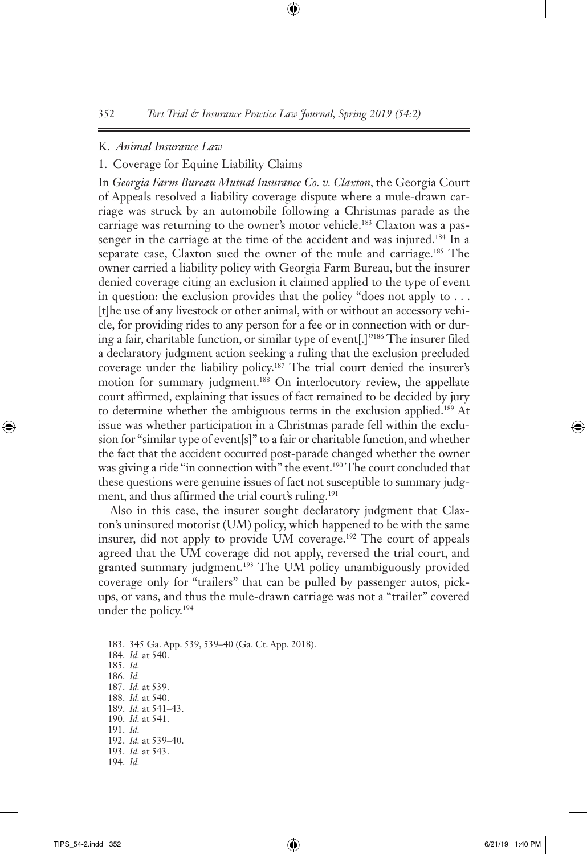#### K. *Animal Insurance Law*

#### 1. Coverage for Equine Liability Claims

In *Georgia Farm Bureau Mutual Insurance Co. v. Claxton*, the Georgia Court of Appeals resolved a liability coverage dispute where a mule-drawn carriage was struck by an automobile following a Christmas parade as the carriage was returning to the owner's motor vehicle.<sup>183</sup> Claxton was a passenger in the carriage at the time of the accident and was injured.<sup>184</sup> In a separate case, Claxton sued the owner of the mule and carriage.<sup>185</sup> The owner carried a liability policy with Georgia Farm Bureau, but the insurer denied coverage citing an exclusion it claimed applied to the type of event in question: the exclusion provides that the policy "does not apply to . . . [t]he use of any livestock or other animal, with or without an accessory vehicle, for providing rides to any person for a fee or in connection with or during a fair, charitable function, or similar type of event[.]"186 The insurer filed a declaratory judgment action seeking a ruling that the exclusion precluded coverage under the liability policy.187 The trial court denied the insurer's motion for summary judgment.<sup>188</sup> On interlocutory review, the appellate court affirmed, explaining that issues of fact remained to be decided by jury to determine whether the ambiguous terms in the exclusion applied.189 At issue was whether participation in a Christmas parade fell within the exclusion for "similar type of event[s]" to a fair or charitable function, and whether the fact that the accident occurred post-parade changed whether the owner was giving a ride "in connection with" the event.<sup>190</sup> The court concluded that these questions were genuine issues of fact not susceptible to summary judgment, and thus affirmed the trial court's ruling.<sup>191</sup>

Also in this case, the insurer sought declaratory judgment that Claxton's uninsured motorist (UM) policy, which happened to be with the same insurer, did not apply to provide UM coverage.192 The court of appeals agreed that the UM coverage did not apply, reversed the trial court, and granted summary judgment.193 The UM policy unambiguously provided coverage only for "trailers" that can be pulled by passenger autos, pickups, or vans, and thus the mule-drawn carriage was not a "trailer" covered under the policy.194

183. 345 Ga. App. 539, 539–40 (Ga. Ct. App. 2018).

- 185. *Id.*
- 186. *Id.* 187. *Id.* at 539.
- 188. *Id.* at 540.
- 189. *Id.* at 541–43.
- 190. *Id.* at 541.
- 191. *Id.*
- 192. *Id.* at 539–40.
- 193. *Id.* at 543.
- 194. *Id.*

<sup>184.</sup> *Id.* at 540.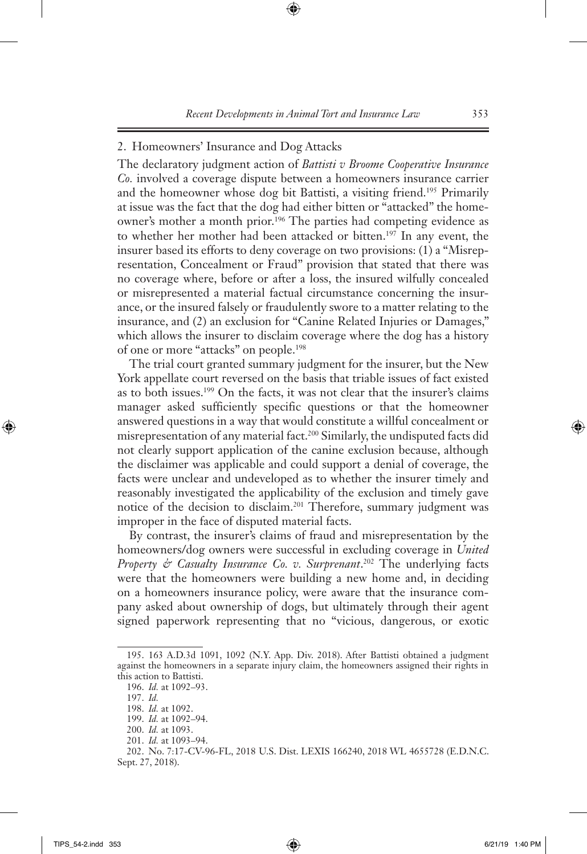#### 2. Homeowners' Insurance and Dog Attacks

The declaratory judgment action of *Battisti v Broome Cooperative Insurance Co.* involved a coverage dispute between a homeowners insurance carrier and the homeowner whose dog bit Battisti, a visiting friend.<sup>195</sup> Primarily at issue was the fact that the dog had either bitten or "attacked" the homeowner's mother a month prior.196 The parties had competing evidence as to whether her mother had been attacked or bitten.197 In any event, the insurer based its efforts to deny coverage on two provisions: (1) a "Misrepresentation, Concealment or Fraud" provision that stated that there was no coverage where, before or after a loss, the insured wilfully concealed or misrepresented a material factual circumstance concerning the insurance, or the insured falsely or fraudulently swore to a matter relating to the insurance, and (2) an exclusion for "Canine Related Injuries or Damages," which allows the insurer to disclaim coverage where the dog has a history of one or more "attacks" on people.198

The trial court granted summary judgment for the insurer, but the New York appellate court reversed on the basis that triable issues of fact existed as to both issues.199 On the facts, it was not clear that the insurer's claims manager asked sufficiently specific questions or that the homeowner answered questions in a way that would constitute a willful concealment or misrepresentation of any material fact.200 Similarly, the undisputed facts did not clearly support application of the canine exclusion because, although the disclaimer was applicable and could support a denial of coverage, the facts were unclear and undeveloped as to whether the insurer timely and reasonably investigated the applicability of the exclusion and timely gave notice of the decision to disclaim.201 Therefore, summary judgment was improper in the face of disputed material facts.

By contrast, the insurer's claims of fraud and misrepresentation by the homeowners/dog owners were successful in excluding coverage in *United Property & Casualty Insurance Co. v. Surprenant*. 202 The underlying facts were that the homeowners were building a new home and, in deciding on a homeowners insurance policy, were aware that the insurance company asked about ownership of dogs, but ultimately through their agent signed paperwork representing that no "vicious, dangerous, or exotic

<sup>195.</sup> 163 A.D.3d 1091, 1092 (N.Y. App. Div. 2018). After Battisti obtained a judgment against the homeowners in a separate injury claim, the homeowners assigned their rights in this action to Battisti.

<sup>196.</sup> *Id.* at 1092–93.

<sup>197.</sup> *Id.*

<sup>198.</sup> *Id.* at 1092.

<sup>199.</sup> *Id.* at 1092–94.

<sup>200.</sup> *Id.* at 1093.

<sup>201.</sup> *Id.* at 1093–94.

<sup>202.</sup> No. 7:17-CV-96-FL, 2018 U.S. Dist. LEXIS 166240, 2018 WL 4655728 (E.D.N.C. Sept. 27, 2018).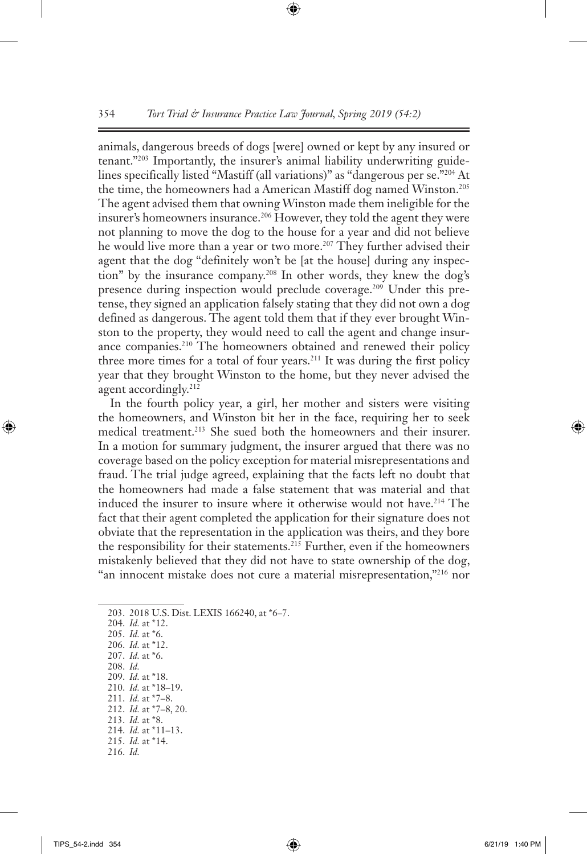animals, dangerous breeds of dogs [were] owned or kept by any insured or tenant."203 Importantly, the insurer's animal liability underwriting guidelines specifically listed "Mastiff (all variations)" as "dangerous per se."204 At the time, the homeowners had a American Mastiff dog named Winston.<sup>205</sup> The agent advised them that owning Winston made them ineligible for the insurer's homeowners insurance.<sup>206</sup> However, they told the agent they were not planning to move the dog to the house for a year and did not believe he would live more than a year or two more.<sup>207</sup> They further advised their agent that the dog "definitely won't be [at the house] during any inspection" by the insurance company.208 In other words, they knew the dog's presence during inspection would preclude coverage.209 Under this pretense, they signed an application falsely stating that they did not own a dog defined as dangerous. The agent told them that if they ever brought Winston to the property, they would need to call the agent and change insurance companies.210 The homeowners obtained and renewed their policy three more times for a total of four years.211 It was during the first policy year that they brought Winston to the home, but they never advised the agent accordingly.<sup>212</sup>

In the fourth policy year, a girl, her mother and sisters were visiting the homeowners, and Winston bit her in the face, requiring her to seek medical treatment.<sup>213</sup> She sued both the homeowners and their insurer. In a motion for summary judgment, the insurer argued that there was no coverage based on the policy exception for material misrepresentations and fraud. The trial judge agreed, explaining that the facts left no doubt that the homeowners had made a false statement that was material and that induced the insurer to insure where it otherwise would not have.<sup>214</sup> The fact that their agent completed the application for their signature does not obviate that the representation in the application was theirs, and they bore the responsibility for their statements.215 Further, even if the homeowners mistakenly believed that they did not have to state ownership of the dog, "an innocent mistake does not cure a material misrepresentation,"<sup>216</sup> nor

204. *Id.* at \*12. 205. *Id.* at \*6. 206. *Id.* at \*12.

- 207. *Id.* at \*6.
- 208. *Id.*
- 209. *Id.* at \*18. 210. *Id.* at \*18–19.
- 211. *Id.* at \*7–8.
- 212. *Id.* at \*7–8, 20.
- 213. *Id.* at \*8.
- 214. *Id.* at \*11–13.
- 215. *Id.* at \*14.
- 216. *Id.*

<sup>203.</sup> 2018 U.S. Dist. LEXIS 166240, at \*6–7.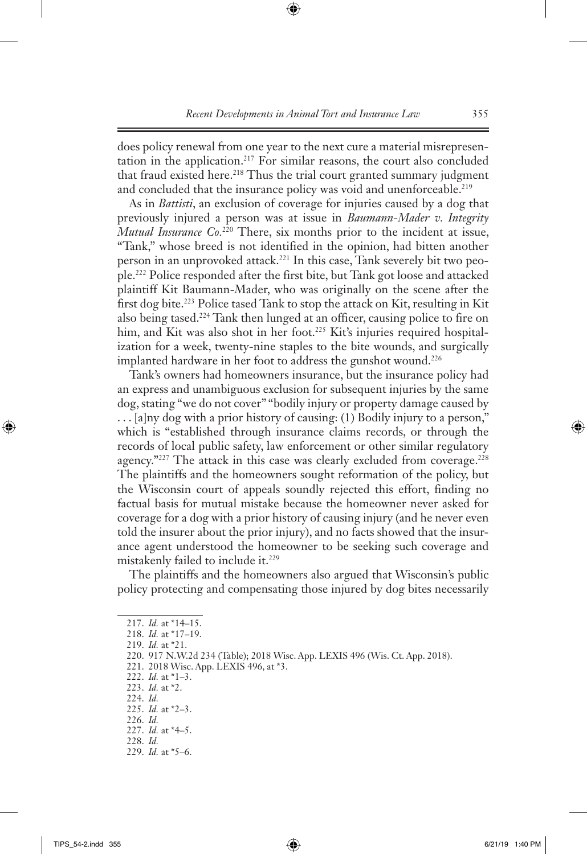does policy renewal from one year to the next cure a material misrepresentation in the application.217 For similar reasons, the court also concluded that fraud existed here.<sup>218</sup> Thus the trial court granted summary judgment and concluded that the insurance policy was void and unenforceable.<sup>219</sup>

As in *Battisti*, an exclusion of coverage for injuries caused by a dog that previously injured a person was at issue in *Baumann-Mader v. Integrity Mutual Insurance Co.*<sup>220</sup> There, six months prior to the incident at issue, "Tank," whose breed is not identified in the opinion, had bitten another person in an unprovoked attack.<sup>221</sup> In this case, Tank severely bit two people.222 Police responded after the first bite, but Tank got loose and attacked plaintiff Kit Baumann-Mader, who was originally on the scene after the first dog bite.223 Police tased Tank to stop the attack on Kit, resulting in Kit also being tased.<sup>224</sup> Tank then lunged at an officer, causing police to fire on him, and Kit was also shot in her foot.<sup>225</sup> Kit's injuries required hospitalization for a week, twenty-nine staples to the bite wounds, and surgically implanted hardware in her foot to address the gunshot wound.<sup>226</sup>

Tank's owners had homeowners insurance, but the insurance policy had an express and unambiguous exclusion for subsequent injuries by the same dog, stating "we do not cover" "bodily injury or property damage caused by . . . [a]ny dog with a prior history of causing: (1) Bodily injury to a person," which is "established through insurance claims records, or through the records of local public safety, law enforcement or other similar regulatory agency."<sup>227</sup> The attack in this case was clearly excluded from coverage.<sup>228</sup> The plaintiffs and the homeowners sought reformation of the policy, but the Wisconsin court of appeals soundly rejected this effort, finding no factual basis for mutual mistake because the homeowner never asked for coverage for a dog with a prior history of causing injury (and he never even told the insurer about the prior injury), and no facts showed that the insurance agent understood the homeowner to be seeking such coverage and mistakenly failed to include it.<sup>229</sup>

The plaintiffs and the homeowners also argued that Wisconsin's public policy protecting and compensating those injured by dog bites necessarily

224. *Id.*

- 226. *Id.*
- 227. *Id.* at \*4–5. 228. *Id.*
- 229. *Id.* at \*5–6.

<sup>217.</sup> *Id.* at \*14–15.

<sup>218.</sup> *Id.* at \*17–19.

<sup>219.</sup> *Id.* at \*21.

<sup>220.</sup> 917 N.W.2d 234 (Table); 2018 Wisc. App. LEXIS 496 (Wis. Ct. App. 2018).

<sup>221.</sup> 2018 Wisc. App. LEXIS 496, at \*3.

<sup>222.</sup> *Id.* at \*1–3.

<sup>223.</sup> *Id.* at \*2.

<sup>225.</sup> *Id.* at \*2–3.